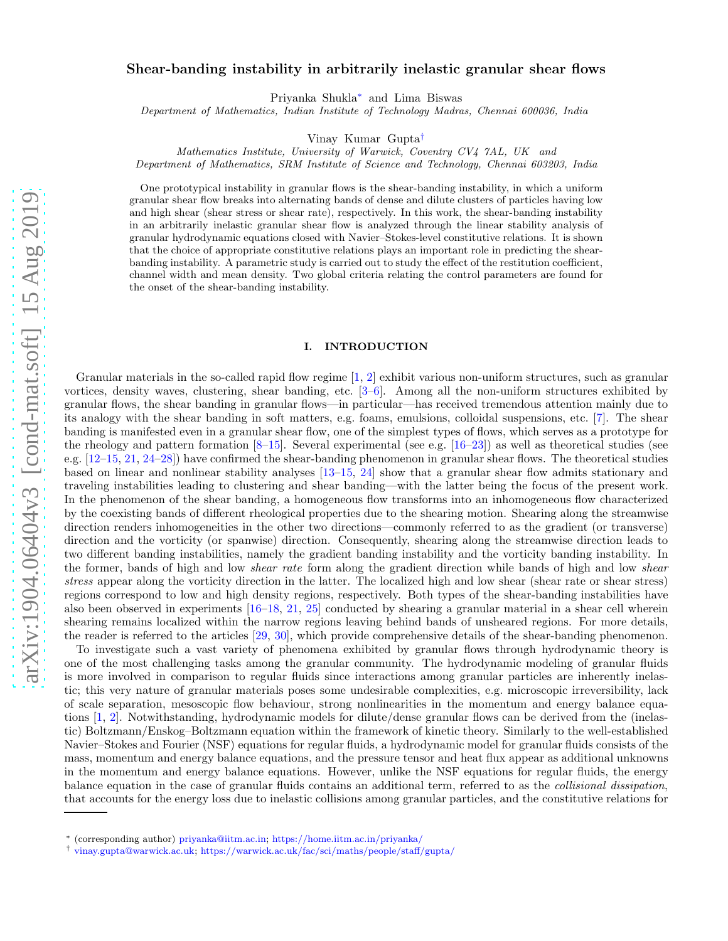# Shear-banding instability in arbitrarily inelastic granular shear flows

Priyanka Shukla[∗](#page-0-0) and Lima Biswas

Department of Mathematics, Indian Institute of Technology Madras, Chennai 600036, India

Vinay Kumar Gupta[†](#page-0-1)

Mathematics Institute, University of Warwick, Coventry CV4 7AL, UK and

Department of Mathematics, SRM Institute of Science and Technology, Chennai 603203, India

One prototypical instability in granular flows is the shear-banding instability, in which a uniform granular shear flow breaks into alternating bands of dense and dilute clusters of particles having low and high shear (shear stress or shear rate), respectively. In this work, the shear-banding instability in an arbitrarily inelastic granular shear flow is analyzed through the linear stability analysis of granular hydrodynamic equations closed with Navier–Stokes-level constitutive relations. It is shown that the choice of appropriate constitutive relations plays an important role in predicting the shearbanding instability. A parametric study is carried out to study the effect of the restitution coefficient, channel width and mean density. Two global criteria relating the control parameters are found for the onset of the shear-banding instability.

#### I. INTRODUCTION

Granular materials in the so-called rapid flow regime [\[1,](#page-18-0) [2\]](#page-18-1) exhibit various non-uniform structures, such as granular vortices, density waves, clustering, shear banding, etc. [\[3](#page-18-2)[–6](#page-19-0)]. Among all the non-uniform structures exhibited by granular flows, the shear banding in granular flows—in particular—has received tremendous attention mainly due to its analogy with the shear banding in soft matters, e.g. foams, emulsions, colloidal suspensions, etc. [\[7\]](#page-19-1). The shear banding is manifested even in a granular shear flow, one of the simplest types of flows, which serves as a prototype for the rheology and pattern formation  $[8-15]$ . Several experimental (see e.g.  $[16-23]$ ) as well as theoretical studies (see e.g. [\[12](#page-19-6)[–15](#page-19-3), [21,](#page-19-7) [24](#page-19-8)[–28](#page-19-9)]) have confirmed the shear-banding phenomenon in granular shear flows. The theoretical studies based on linear and nonlinear stability analyses [\[13](#page-19-10)[–15,](#page-19-3) [24](#page-19-8)] show that a granular shear flow admits stationary and traveling instabilities leading to clustering and shear banding—with the latter being the focus of the present work. In the phenomenon of the shear banding, a homogeneous flow transforms into an inhomogeneous flow characterized by the coexisting bands of different rheological properties due to the shearing motion. Shearing along the streamwise direction renders inhomogeneities in the other two directions—commonly referred to as the gradient (or transverse) direction and the vorticity (or spanwise) direction. Consequently, shearing along the streamwise direction leads to two different banding instabilities, namely the gradient banding instability and the vorticity banding instability. In the former, bands of high and low *shear rate* form along the gradient direction while bands of high and low *shear* stress appear along the vorticity direction in the latter. The localized high and low shear (shear rate or shear stress) regions correspond to low and high density regions, respectively. Both types of the shear-banding instabilities have also been observed in experiments [\[16](#page-19-4)[–18,](#page-19-11) [21](#page-19-7), [25\]](#page-19-12) conducted by shearing a granular material in a shear cell wherein shearing remains localized within the narrow regions leaving behind bands of unsheared regions. For more details, the reader is referred to the articles [\[29,](#page-19-13) [30\]](#page-19-14), which provide comprehensive details of the shear-banding phenomenon.

To investigate such a vast variety of phenomena exhibited by granular flows through hydrodynamic theory is one of the most challenging tasks among the granular community. The hydrodynamic modeling of granular fluids is more involved in comparison to regular fluids since interactions among granular particles are inherently inelastic; this very nature of granular materials poses some undesirable complexities, e.g. microscopic irreversibility, lack of scale separation, mesoscopic flow behaviour, strong nonlinearities in the momentum and energy balance equations [\[1](#page-18-0), [2](#page-18-1)]. Notwithstanding, hydrodynamic models for dilute/dense granular flows can be derived from the (inelastic) Boltzmann/Enskog–Boltzmann equation within the framework of kinetic theory. Similarly to the well-established Navier–Stokes and Fourier (NSF) equations for regular fluids, a hydrodynamic model for granular fluids consists of the mass, momentum and energy balance equations, and the pressure tensor and heat flux appear as additional unknowns in the momentum and energy balance equations. However, unlike the NSF equations for regular fluids, the energy balance equation in the case of granular fluids contains an additional term, referred to as the collisional dissipation, that accounts for the energy loss due to inelastic collisions among granular particles, and the constitutive relations for

<span id="page-0-0"></span><sup>∗</sup> (corresponding author) [priyanka@iitm.ac.in;](mailto:priyanka@iitm.ac.in) <https://home.iitm.ac.in/priyanka/>

<span id="page-0-1"></span><sup>†</sup> [vinay.gupta@warwick.ac.uk;](mailto:vinay.gupta@warwick.ac.uk) <https://warwick.ac.uk/fac/sci/maths/people/staff/gupta/>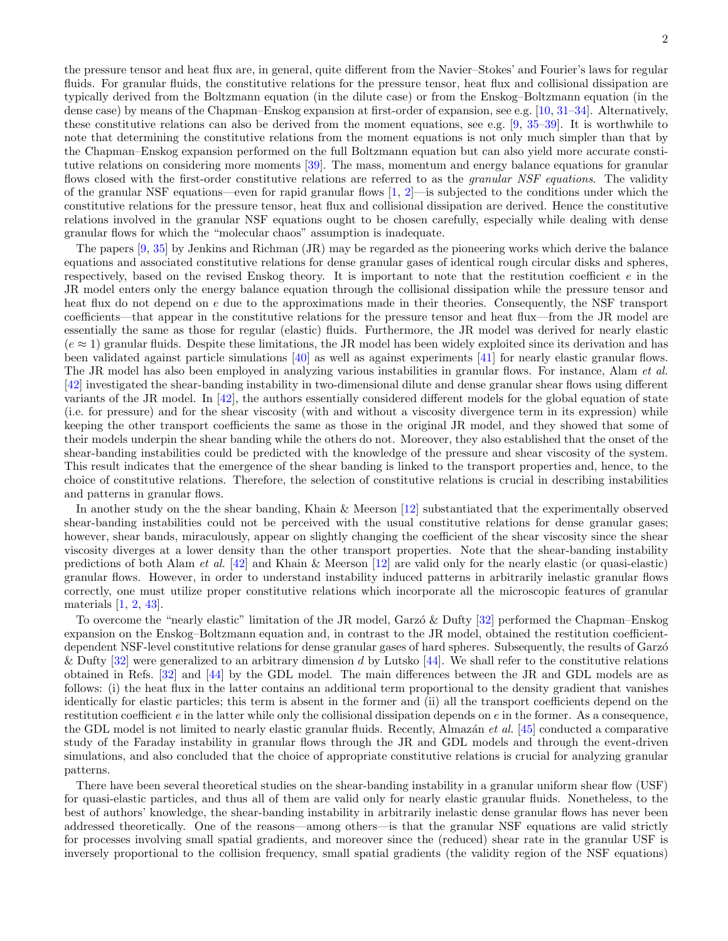the pressure tensor and heat flux are, in general, quite different from the Navier–Stokes' and Fourier's laws for regular fluids. For granular fluids, the constitutive relations for the pressure tensor, heat flux and collisional dissipation are typically derived from the Boltzmann equation (in the dilute case) or from the Enskog–Boltzmann equation (in the dense case) by means of the Chapman–Enskog expansion at first-order of expansion, see e.g. [\[10](#page-19-15), [31](#page-19-16)[–34\]](#page-19-17). Alternatively, these constitutive relations can also be derived from the moment equations, see e.g. [\[9,](#page-19-18) [35](#page-19-19)[–39](#page-19-20)]. It is worthwhile to note that determining the constitutive relations from the moment equations is not only much simpler than that by the Chapman–Enskog expansion performed on the full Boltzmann equation but can also yield more accurate constitutive relations on considering more moments [\[39](#page-19-20)]. The mass, momentum and energy balance equations for granular flows closed with the first-order constitutive relations are referred to as the *granular NSF equations*. The validity of the granular NSF equations—even for rapid granular flows  $[1, 2]$  $[1, 2]$ —is subjected to the conditions under which the constitutive relations for the pressure tensor, heat flux and collisional dissipation are derived. Hence the constitutive relations involved in the granular NSF equations ought to be chosen carefully, especially while dealing with dense granular flows for which the "molecular chaos" assumption is inadequate.

The papers [\[9](#page-19-18), [35\]](#page-19-19) by Jenkins and Richman (JR) may be regarded as the pioneering works which derive the balance equations and associated constitutive relations for dense granular gases of identical rough circular disks and spheres, respectively, based on the revised Enskog theory. It is important to note that the restitution coefficient  $e$  in the JR model enters only the energy balance equation through the collisional dissipation while the pressure tensor and heat flux do not depend on e due to the approximations made in their theories. Consequently, the NSF transport coefficients—that appear in the constitutive relations for the pressure tensor and heat flux—from the JR model are essentially the same as those for regular (elastic) fluids. Furthermore, the JR model was derived for nearly elastic  $(e \approx 1)$  granular fluids. Despite these limitations, the JR model has been widely exploited since its derivation and has been validated against particle simulations [\[40](#page-19-21)] as well as against experiments [\[41](#page-19-22)] for nearly elastic granular flows. The JR model has also been employed in analyzing various instabilities in granular flows. For instance, Alam et al. [\[42\]](#page-19-23) investigated the shear-banding instability in two-dimensional dilute and dense granular shear flows using different variants of the JR model. In [\[42](#page-19-23)], the authors essentially considered different models for the global equation of state (i.e. for pressure) and for the shear viscosity (with and without a viscosity divergence term in its expression) while keeping the other transport coefficients the same as those in the original JR model, and they showed that some of their models underpin the shear banding while the others do not. Moreover, they also established that the onset of the shear-banding instabilities could be predicted with the knowledge of the pressure and shear viscosity of the system. This result indicates that the emergence of the shear banding is linked to the transport properties and, hence, to the choice of constitutive relations. Therefore, the selection of constitutive relations is crucial in describing instabilities and patterns in granular flows.

In another study on the the shear banding, Khain & Meerson [\[12\]](#page-19-6) substantiated that the experimentally observed shear-banding instabilities could not be perceived with the usual constitutive relations for dense granular gases; however, shear bands, miraculously, appear on slightly changing the coefficient of the shear viscosity since the shear viscosity diverges at a lower density than the other transport properties. Note that the shear-banding instability predictions of both Alam *et al.* [\[42](#page-19-23)] and Khain & Meerson [\[12\]](#page-19-6) are valid only for the nearly elastic (or quasi-elastic) granular flows. However, in order to understand instability induced patterns in arbitrarily inelastic granular flows correctly, one must utilize proper constitutive relations which incorporate all the microscopic features of granular materials [\[1](#page-18-0), [2](#page-18-1), [43](#page-20-0)].

To overcome the "nearly elastic" limitation of the JR model, Garzo & Dufty [\[32](#page-19-24)] performed the Chapman–Enskog expansion on the Enskog–Boltzmann equation and, in contrast to the JR model, obtained the restitution coefficientdependent NSF-level constitutive relations for dense granular gases of hard spheres. Subsequently, the results of Garzó & Dufty  $[32]$  were generalized to an arbitrary dimension d by Lutsko  $[44]$ . We shall refer to the constitutive relations obtained in Refs. [\[32](#page-19-24)] and [\[44\]](#page-20-1) by the GDL model. The main differences between the JR and GDL models are as follows: (i) the heat flux in the latter contains an additional term proportional to the density gradient that vanishes identically for elastic particles; this term is absent in the former and (ii) all the transport coefficients depend on the restitution coefficient  $e$  in the latter while only the collisional dissipation depends on  $e$  in the former. As a consequence, the GDL model is not limited to nearly elastic granular fluids. Recently, Almazán *et al.* [\[45](#page-20-2)] conducted a comparative study of the Faraday instability in granular flows through the JR and GDL models and through the event-driven simulations, and also concluded that the choice of appropriate constitutive relations is crucial for analyzing granular patterns.

There have been several theoretical studies on the shear-banding instability in a granular uniform shear flow (USF) for quasi-elastic particles, and thus all of them are valid only for nearly elastic granular fluids. Nonetheless, to the best of authors' knowledge, the shear-banding instability in arbitrarily inelastic dense granular flows has never been addressed theoretically. One of the reasons—among others—is that the granular NSF equations are valid strictly for processes involving small spatial gradients, and moreover since the (reduced) shear rate in the granular USF is inversely proportional to the collision frequency, small spatial gradients (the validity region of the NSF equations)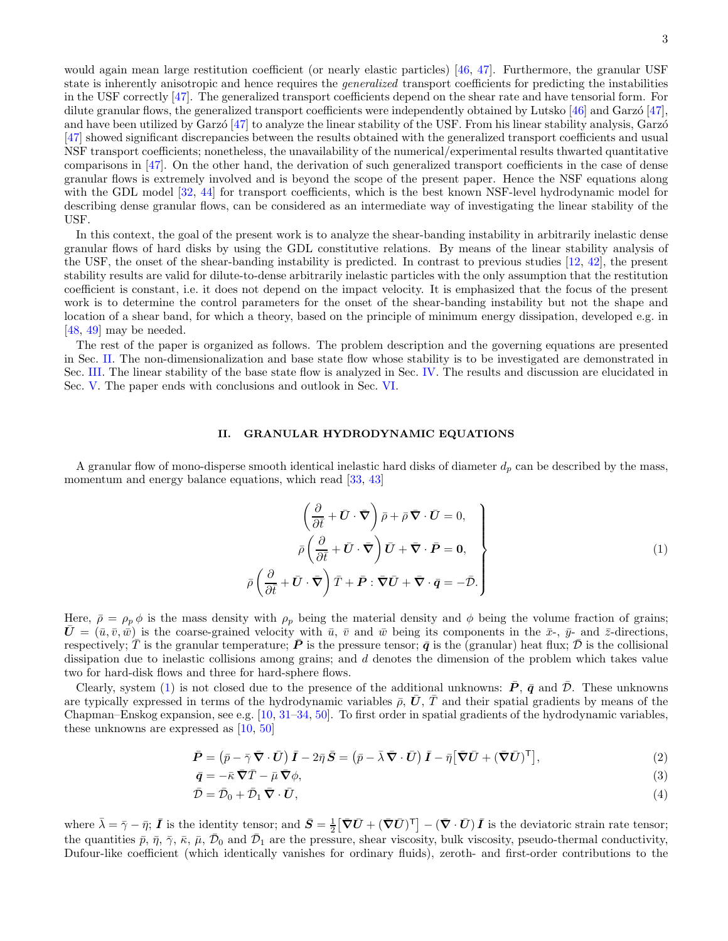would again mean large restitution coefficient (or nearly elastic particles) [\[46](#page-20-3), [47\]](#page-20-4). Furthermore, the granular USF state is inherently anisotropic and hence requires the *generalized* transport coefficients for predicting the instabilities in the USF correctly [\[47\]](#page-20-4). The generalized transport coefficients depend on the shear rate and have tensorial form. For dilute granular flows, the generalized transport coefficients were independently obtained by Lutsko  $[46]$  and Garzo  $[47]$ , and have been utilized by Garzó [\[47\]](#page-20-4) to analyze the linear stability of the USF. From his linear stability analysis, Garzó [\[47\]](#page-20-4) showed significant discrepancies between the results obtained with the generalized transport coefficients and usual NSF transport coefficients; nonetheless, the unavailability of the numerical/experimental results thwarted quantitative comparisons in [\[47](#page-20-4)]. On the other hand, the derivation of such generalized transport coefficients in the case of dense granular flows is extremely involved and is beyond the scope of the present paper. Hence the NSF equations along with the GDL model [\[32](#page-19-24), [44\]](#page-20-1) for transport coefficients, which is the best known NSF-level hydrodynamic model for describing dense granular flows, can be considered as an intermediate way of investigating the linear stability of the USF.

In this context, the goal of the present work is to analyze the shear-banding instability in arbitrarily inelastic dense granular flows of hard disks by using the GDL constitutive relations. By means of the linear stability analysis of the USF, the onset of the shear-banding instability is predicted. In contrast to previous studies [\[12](#page-19-6), [42\]](#page-19-23), the present stability results are valid for dilute-to-dense arbitrarily inelastic particles with the only assumption that the restitution coefficient is constant, i.e. it does not depend on the impact velocity. It is emphasized that the focus of the present work is to determine the control parameters for the onset of the shear-banding instability but not the shape and location of a shear band, for which a theory, based on the principle of minimum energy dissipation, developed e.g. in [\[48,](#page-20-5) [49\]](#page-20-6) may be needed.

The rest of the paper is organized as follows. The problem description and the governing equations are presented in Sec. [II.](#page-2-0) The non-dimensionalization and base state flow whose stability is to be investigated are demonstrated in Sec. [III.](#page-5-0) The linear stability of the base state flow is analyzed in Sec. [IV.](#page-7-0) The results and discussion are elucidated in Sec. [V.](#page-10-0) The paper ends with conclusions and outlook in Sec. [VI.](#page-16-0)

### <span id="page-2-0"></span>II. GRANULAR HYDRODYNAMIC EQUATIONS

A granular flow of mono-disperse smooth identical inelastic hard disks of diameter  $d_p$  can be described by the mass, momentum and energy balance equations, which read [\[33](#page-19-25), [43](#page-20-0)]

<span id="page-2-1"></span>
$$
\left(\frac{\partial}{\partial \bar{t}} + \bar{U} \cdot \bar{\nabla}\right) \bar{\rho} + \bar{\rho} \bar{\nabla} \cdot \bar{U} = 0, \n\bar{\rho} \left(\frac{\partial}{\partial \bar{t}} + \bar{U} \cdot \bar{\nabla}\right) \bar{U} + \bar{\nabla} \cdot \bar{P} = 0, \n\bar{\rho} \left(\frac{\partial}{\partial \bar{t}} + \bar{U} \cdot \bar{\nabla}\right) \bar{T} + \bar{P} : \bar{\nabla}\bar{U} + \bar{\nabla} \cdot \bar{q} = -\bar{\mathcal{D}}.
$$
\n(1)

Here,  $\bar{\rho} = \rho_p \phi$  is the mass density with  $\rho_p$  being the material density and  $\phi$  being the volume fraction of grains;  $\bar{U}=(\bar{u},\bar{v},\bar{w})$  is the coarse-grained velocity with  $\bar{u},\bar{v}$  and  $\bar{w}$  being its components in the  $\bar{x}$ -,  $\bar{y}$ - and  $\bar{z}$ -directions, respectively;  $\overline{T}$  is the granular temperature;  $\overline{P}$  is the pressure tensor;  $\overline{q}$  is the (granular) heat flux;  $\overline{D}$  is the collisional dissipation due to inelastic collisions among grains; and d denotes the dimension of the problem which takes value two for hard-disk flows and three for hard-sphere flows.

Clearly, system [\(1\)](#page-2-1) is not closed due to the presence of the additional unknowns:  $\bar{P}$ ,  $\bar{q}$  and  $\bar{D}$ . These unknowns are typically expressed in terms of the hydrodynamic variables  $\bar{\rho}$ ,  $\bar{U}$ ,  $\bar{T}$  and their spatial gradients by means of the Chapman–Enskog expansion, see e.g. [\[10](#page-19-15), [31](#page-19-16)[–34,](#page-19-17) [50](#page-20-7)]. To first order in spatial gradients of the hydrodynamic variables, these unknowns are expressed as [\[10,](#page-19-15) [50](#page-20-7)]

$$
\bar{P} = (\bar{p} - \bar{\gamma}\,\bar{\nabla}\cdot\bar{U})\,\bar{I} - 2\bar{\eta}\,\bar{S} = (\bar{p} - \bar{\lambda}\,\bar{\nabla}\cdot\bar{U})\,\bar{I} - \bar{\eta}\big[\bar{\nabla}\bar{U} + (\bar{\nabla}\bar{U})^{\mathsf{T}}\big],\tag{2}
$$

$$
\bar{q} = -\bar{\kappa}\,\bar{\nabla}\bar{T} - \bar{\mu}\,\bar{\nabla}\phi,\tag{3}
$$

$$
\bar{\mathcal{D}} = \bar{\mathcal{D}}_0 + \bar{\mathcal{D}}_1 \,\bar{\nabla} \cdot \bar{\mathbf{U}},\tag{4}
$$

where  $\bar{\lambda} = \bar{\gamma} - \bar{\eta}$ ;  $\bar{I}$  is the identity tensor; and  $\bar{S} = \frac{1}{2} [\bar{\nabla}\bar{U} + (\bar{\nabla}\bar{U})^{\text{T}}] - (\bar{\nabla} \cdot \bar{U}) \bar{I}$  is the deviatoric strain rate tensor; the quantities  $\bar{p}$ ,  $\bar{\eta}$ ,  $\bar{\gamma}$ ,  $\bar{\kappa}$ ,  $\bar{\mu}$ ,  $\bar{\mathcal{D}}_0$  and  $\bar{\mathcal{D}}_1$  are the pressure, shear viscosity, bulk viscosity, pseudo-thermal conductivity, Dufour-like coefficient (which identically vanishes for ordinary fluids), zeroth- and first-order contributions to the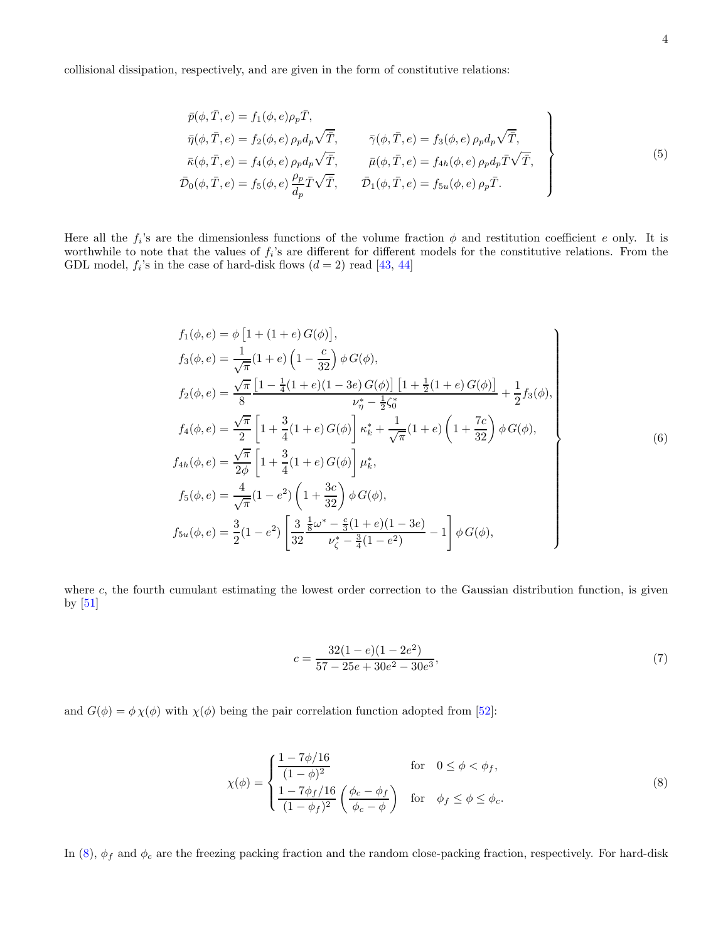collisional dissipation, respectively, and are given in the form of constitutive relations:

<span id="page-3-2"></span>
$$
\bar{p}(\phi,\bar{T},e) = f_1(\phi,e)\rho_p\bar{T},
$$
\n
$$
\bar{\eta}(\phi,\bar{T},e) = f_2(\phi,e)\rho_p d_p \sqrt{\bar{T}},
$$
\n
$$
\bar{\gamma}(\phi,\bar{T},e) = f_3(\phi,e)\rho_p d_p \sqrt{\bar{T}},
$$
\n
$$
\bar{\kappa}(\phi,\bar{T},e) = f_4(\phi,e)\rho_p d_p \sqrt{\bar{T}},
$$
\n
$$
\bar{\mu}(\phi,\bar{T},e) = f_{4h}(\phi,e)\rho_p d_p \bar{T} \sqrt{\bar{T}},
$$
\n
$$
\bar{\mathcal{D}}_0(\phi,\bar{T},e) = f_5(\phi,e)\frac{\rho_p}{d_p}\bar{T}\sqrt{\bar{T}},
$$
\n
$$
\bar{\mathcal{D}}_1(\phi,\bar{T},e) = f_{5u}(\phi,e)\rho_p\bar{T}.
$$
\n(5)

Here all the  $f_i$ 's are the dimensionless functions of the volume fraction  $\phi$  and restitution coefficient e only. It is worthwhile to note that the values of  $f_i$ 's are different for different models for the constitutive relations. From the GDL model,  $f_i$ 's in the case of hard-disk flows  $(d = 2)$  read [\[43,](#page-20-0) [44](#page-20-1)]

$$
f_1(\phi, e) = \phi \left[ 1 + (1 + e) G(\phi) \right],
$$
  
\n
$$
f_3(\phi, e) = \frac{1}{\sqrt{\pi}} (1 + e) \left( 1 - \frac{c}{32} \right) \phi G(\phi),
$$
  
\n
$$
f_2(\phi, e) = \frac{\sqrt{\pi}}{8} \left[ 1 - \frac{1}{4} (1 + e) (1 - 3e) G(\phi) \right] \left[ 1 + \frac{1}{2} (1 + e) G(\phi) \right] + \frac{1}{2} f_3(\phi),
$$
  
\n
$$
f_4(\phi, e) = \frac{\sqrt{\pi}}{2} \left[ 1 + \frac{3}{4} (1 + e) G(\phi) \right] \kappa_k^* + \frac{1}{\sqrt{\pi}} (1 + e) \left( 1 + \frac{7c}{32} \right) \phi G(\phi),
$$
  
\n
$$
f_{4h}(\phi, e) = \frac{\sqrt{\pi}}{2\phi} \left[ 1 + \frac{3}{4} (1 + e) G(\phi) \right] \mu_k^*,
$$
  
\n
$$
f_5(\phi, e) = \frac{4}{\sqrt{\pi}} (1 - e^2) \left( 1 + \frac{3c}{32} \right) \phi G(\phi),
$$
  
\n
$$
f_{5u}(\phi, e) = \frac{3}{2} (1 - e^2) \left[ \frac{3}{32} \frac{\frac{1}{8} \omega^* - \frac{c}{3} (1 + e) (1 - 3e)}{\nu_{\zeta}^* - \frac{3}{4} (1 - e^2)} - 1 \right] \phi G(\phi),
$$
\n(6)

where c, the fourth cumulant estimating the lowest order correction to the Gaussian distribution function, is given by [\[51\]](#page-20-8)

<span id="page-3-1"></span>
$$
c = \frac{32(1-e)(1-2e^2)}{57-25e+30e^2-30e^3},\tag{7}
$$

and  $G(\phi) = \phi \chi(\phi)$  with  $\chi(\phi)$  being the pair correlation function adopted from [\[52\]](#page-20-9):

<span id="page-3-0"></span>
$$
\chi(\phi) = \begin{cases}\n\frac{1 - 7\phi/16}{(1 - \phi)^2} & \text{for } 0 \le \phi < \phi_f, \\
\frac{1 - 7\phi_f/16}{(1 - \phi_f)^2} \left(\frac{\phi_c - \phi_f}{\phi_c - \phi}\right) & \text{for } \phi_f \le \phi \le \phi_c.\n\end{cases}
$$
\n(8)

In [\(8\)](#page-3-0),  $\phi_f$  and  $\phi_c$  are the freezing packing fraction and the random close-packing fraction, respectively. For hard-disk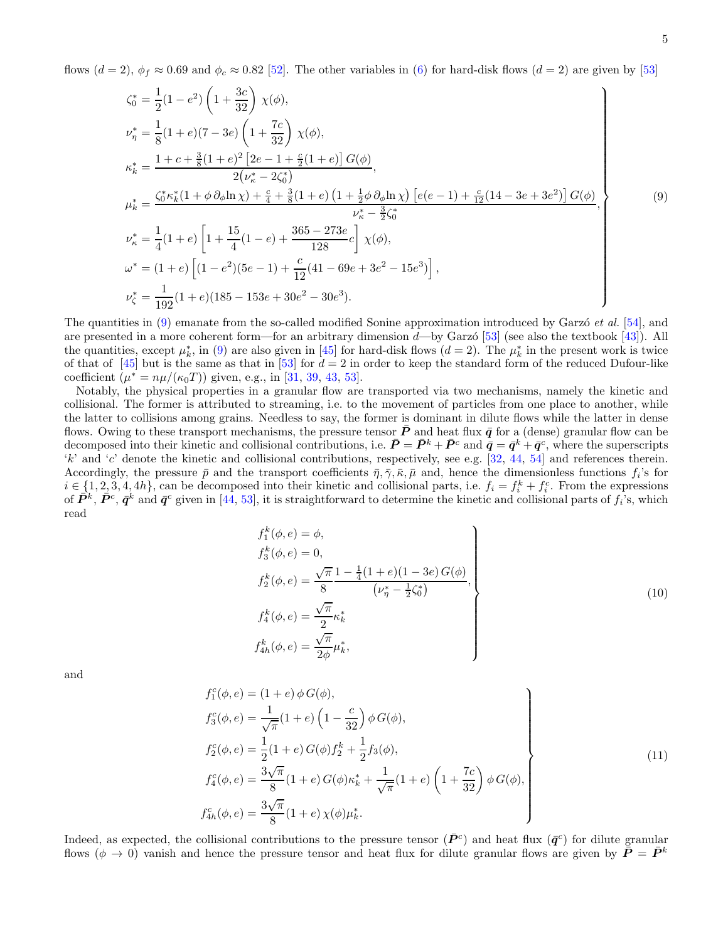flows  $(d = 2)$ ,  $\phi_f \approx 0.69$  and  $\phi_c \approx 0.82$  [\[52\]](#page-20-9). The other variables in [\(6\)](#page-3-1) for hard-disk flows  $(d = 2)$  are given by [\[53](#page-20-10)]

$$
\zeta_0^* = \frac{1}{2}(1 - e^2) \left(1 + \frac{3c}{32}\right) \chi(\phi),
$$
\n
$$
\nu_{\eta}^* = \frac{1}{8}(1 + e)(7 - 3e) \left(1 + \frac{7c}{32}\right) \chi(\phi),
$$
\n
$$
\kappa_k^* = \frac{1 + c + \frac{3}{8}(1 + e)^2 \left[2e - 1 + \frac{c}{2}(1 + e)\right] G(\phi)}{2(\nu_k^* - 2\zeta_0^*)},
$$
\n
$$
\mu_k^* = \frac{\zeta_0^* \kappa_k^*(1 + \phi \partial_\phi \ln \chi) + \frac{c}{4} + \frac{3}{8}(1 + e) \left(1 + \frac{1}{2}\phi \partial_\phi \ln \chi\right) \left[e(e - 1) + \frac{c}{12}(14 - 3e + 3e^2)\right] G(\phi)}{\nu_k^* - \frac{3}{2}\zeta_0^*},
$$
\n
$$
\nu_{\kappa}^* = \frac{1}{4}(1 + e) \left[1 + \frac{15}{4}(1 - e) + \frac{365 - 273e}{128}c\right] \chi(\phi),
$$
\n
$$
\omega^* = (1 + e) \left[(1 - e^2)(5e - 1) + \frac{c}{12}(41 - 69e + 3e^2 - 15e^3)\right],
$$
\n
$$
\nu_{\zeta}^* = \frac{1}{192}(1 + e)(185 - 153e + 30e^2 - 30e^3).
$$
\n(9)

The quantities in  $(9)$  emanate from the so-called modified Sonine approximation introduced by Garzo *et al.* [\[54](#page-20-11)], and are presented in a more coherent form—for an arbitrary dimension  $d$ —by Garzó [\[53](#page-20-10)] (see also the textbook [\[43](#page-20-0)]). All the quantities, except  $\mu_k^*$ , in [\(9\)](#page-4-0) are also given in [\[45\]](#page-20-2) for hard-disk flows ( $d=2$ ). The  $\mu_k^*$  in the present work is twice of that of  $[45]$  but is the same as that in  $[53]$  for  $d = 2$  in order to keep the standard form of the reduced Dufour-like coefficient  $(\mu^* = n\mu/(\kappa_0 T))$  given, e.g., in [\[31,](#page-19-16) [39,](#page-19-20) [43,](#page-20-0) [53\]](#page-20-10).

Notably, the physical properties in a granular flow are transported via two mechanisms, namely the kinetic and collisional. The former is attributed to streaming, i.e. to the movement of particles from one place to another, while the latter to collisions among grains. Needless to say, the former is dominant in dilute flows while the latter in dense flows. Owing to these transport mechanisms, the pressure tensor  $\bar{P}$  and heat flux  $\bar{q}$  for a (dense) granular flow can be decomposed into their kinetic and collisional contributions, i.e.  $\bar{P} = \bar{P}^k + \bar{P}^c$  and  $\bar{q} = \bar{q}^k + \bar{q}^c$ , where the superscripts 'k' and 'c' denote the kinetic and collisional contributions, respectively, see e.g. [\[32,](#page-19-24) [44](#page-20-1), [54\]](#page-20-11) and references therein. Accordingly, the pressure  $\bar{p}$  and the transport coefficients  $\bar{\eta}, \bar{\gamma}, \bar{\kappa}, \bar{\mu}$  and, hence the dimensionless functions  $f_i$ 's for  $i \in \{1, 2, 3, 4, 4h\}$ , can be decomposed into their kinetic and collisional parts, i.e.  $f_i = f_i^k + f_i^c$ . From the expressions of  $\bar{P}^k$ ,  $\bar{P}^c$ ,  $\bar{q}^k$  and  $\bar{q}^c$  given in [\[44](#page-20-1), [53\]](#page-20-10), it is straightforward to determine the kinetic and collisional parts of  $f_i$ 's, which read

<span id="page-4-2"></span><span id="page-4-1"></span><span id="page-4-0"></span>
$$
f_1^k(\phi, e) = \phi,
$$
  
\n
$$
f_3^k(\phi, e) = 0,
$$
  
\n
$$
f_2^k(\phi, e) = \frac{\sqrt{\pi}}{8} \frac{1 - \frac{1}{4}(1 + e)(1 - 3e) G(\phi)}{(\nu_{\eta}^* - \frac{1}{2}\zeta_0^*)},
$$
  
\n
$$
f_4^k(\phi, e) = \frac{\sqrt{\pi}}{2} \kappa_k^*
$$
  
\n
$$
f_{4h}^k(\phi, e) = \frac{\sqrt{\pi}}{2\phi} \mu_k^*,
$$
\n(10)

and

$$
f_1^c(\phi, e) = (1 + e) \phi G(\phi),
$$
  
\n
$$
f_3^c(\phi, e) = \frac{1}{\sqrt{\pi}} (1 + e) \left(1 - \frac{c}{32}\right) \phi G(\phi),
$$
  
\n
$$
f_2^c(\phi, e) = \frac{1}{2} (1 + e) G(\phi) f_2^k + \frac{1}{2} f_3(\phi),
$$
  
\n
$$
f_4^c(\phi, e) = \frac{3\sqrt{\pi}}{8} (1 + e) G(\phi) \kappa_k^* + \frac{1}{\sqrt{\pi}} (1 + e) \left(1 + \frac{7c}{32}\right) \phi G(\phi),
$$
  
\n
$$
f_{4h}^c(\phi, e) = \frac{3\sqrt{\pi}}{8} (1 + e) \chi(\phi) \mu_k^*.
$$
\n(11)

Indeed, as expected, the collisional contributions to the pressure tensor  $(\bar{P}^c)$  and heat flux  $(\bar{q}^c)$  for dilute granular flows ( $\phi \to 0$ ) vanish and hence the pressure tensor and heat flux for dilute granular flows are given by  $\tilde{P} = \tilde{P}^k$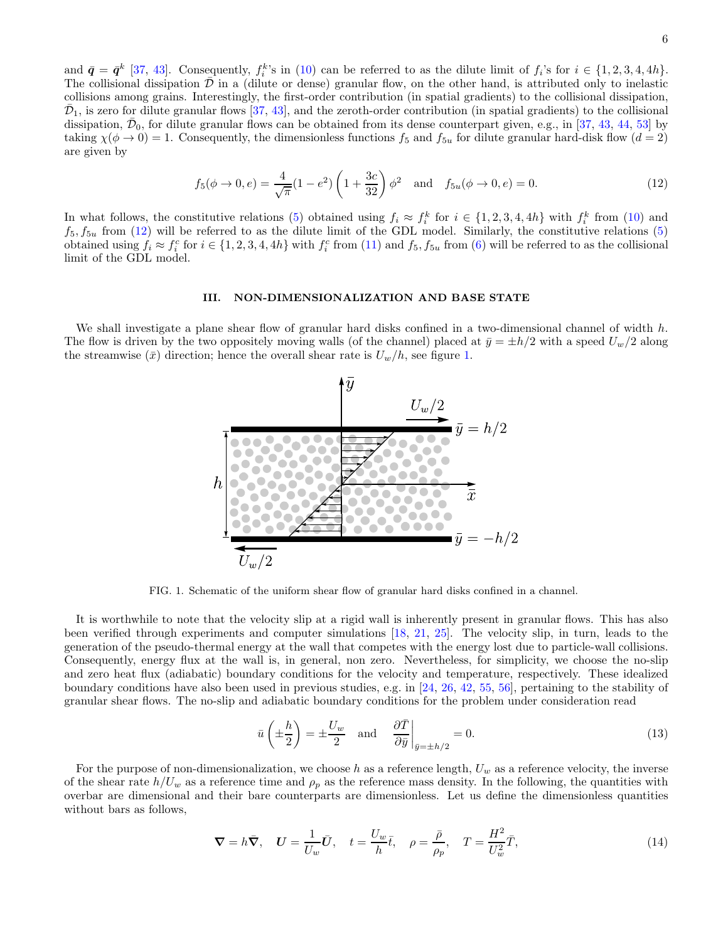and  $\bar{q} = \bar{q}^k$  [\[37](#page-19-26), [43\]](#page-20-0). Consequently,  $f_i^k$ 's in [\(10\)](#page-4-1) can be referred to as the dilute limit of  $f_i$ 's for  $i \in \{1, 2, 3, 4, 4h\}$ . The collisional dissipation  $\mathcal D$  in a (dilute or dense) granular flow, on the other hand, is attributed only to inelastic collisions among grains. Interestingly, the first-order contribution (in spatial gradients) to the collisional dissipation,  $\bar{\mathcal{D}}_1$ , is zero for dilute granular flows [\[37,](#page-19-26) [43\]](#page-20-0), and the zeroth-order contribution (in spatial gradients) to the collisional dissipation,  $\bar{\mathcal{D}}_0$ , for dilute granular flows can be obtained from its dense counterpart given, e.g., in [\[37,](#page-19-26) [43,](#page-20-0) [44,](#page-20-1) [53\]](#page-20-10) by taking  $\chi(\phi \to 0) = 1$ . Consequently, the dimensionless functions  $f_5$  and  $f_{5u}$  for dilute granular hard-disk flow  $(d = 2)$ are given by

<span id="page-5-1"></span>
$$
f_5(\phi \to 0, e) = \frac{4}{\sqrt{\pi}} (1 - e^2) \left( 1 + \frac{3c}{32} \right) \phi^2 \quad \text{and} \quad f_{5u}(\phi \to 0, e) = 0. \tag{12}
$$

In what follows, the constitutive relations [\(5\)](#page-3-2) obtained using  $f_i \approx f_i^k$  for  $i \in \{1, 2, 3, 4, 4h\}$  with  $f_i^k$  from [\(10\)](#page-4-1) and  $f_5, f_{5u}$  from [\(12\)](#page-5-1) will be referred to as the dilute limit of the GDL model. Similarly, the constitutive relations [\(5\)](#page-3-2) obtained using  $f_i \approx f_i^c$  for  $i \in \{1, 2, 3, 4, 4h\}$  with  $f_i^c$  from [\(11\)](#page-4-2) and  $f_5, f_{5u}$  from [\(6\)](#page-3-1) will be referred to as the collisional limit of the GDL model.

#### <span id="page-5-0"></span>III. NON-DIMENSIONALIZATION AND BASE STATE

We shall investigate a plane shear flow of granular hard disks confined in a two-dimensional channel of width  $h$ . The flow is driven by the two oppositely moving walls (of the channel) placed at  $\bar{y} = \pm h/2$  with a speed  $U_w/2$  along the streamwise  $(\bar{x})$  direction; hence the overall shear rate is  $U_w/h$ , see figure [1.](#page-5-2)



<span id="page-5-2"></span>FIG. 1. Schematic of the uniform shear flow of granular hard disks confined in a channel.

It is worthwhile to note that the velocity slip at a rigid wall is inherently present in granular flows. This has also been verified through experiments and computer simulations [\[18,](#page-19-11) [21,](#page-19-7) [25\]](#page-19-12). The velocity slip, in turn, leads to the generation of the pseudo-thermal energy at the wall that competes with the energy lost due to particle-wall collisions. Consequently, energy flux at the wall is, in general, non zero. Nevertheless, for simplicity, we choose the no-slip and zero heat flux (adiabatic) boundary conditions for the velocity and temperature, respectively. These idealized boundary conditions have also been used in previous studies, e.g. in [\[24](#page-19-8), [26](#page-19-27), [42](#page-19-23), [55,](#page-20-12) [56](#page-20-13)], pertaining to the stability of granular shear flows. The no-slip and adiabatic boundary conditions for the problem under consideration read

<span id="page-5-3"></span>
$$
\bar{u}\left(\pm\frac{h}{2}\right) = \pm\frac{U_w}{2}
$$
 and  $\frac{\partial \bar{T}}{\partial \bar{y}}\Big|_{\bar{y}=\pm h/2} = 0.$  (13)

For the purpose of non-dimensionalization, we choose h as a reference length,  $U_w$  as a reference velocity, the inverse of the shear rate  $h/U_w$  as a reference time and  $\rho_p$  as the reference mass density. In the following, the quantities with overbar are dimensional and their bare counterparts are dimensionless. Let us define the dimensionless quantities without bars as follows,

$$
\nabla = h\bar{\nabla}, \quad \mathbf{U} = \frac{1}{U_w}\bar{\mathbf{U}}, \quad t = \frac{U_w}{h}\bar{t}, \quad \rho = \frac{\bar{\rho}}{\rho_p}, \quad T = \frac{H^2}{U_w^2}\bar{T}, \tag{14}
$$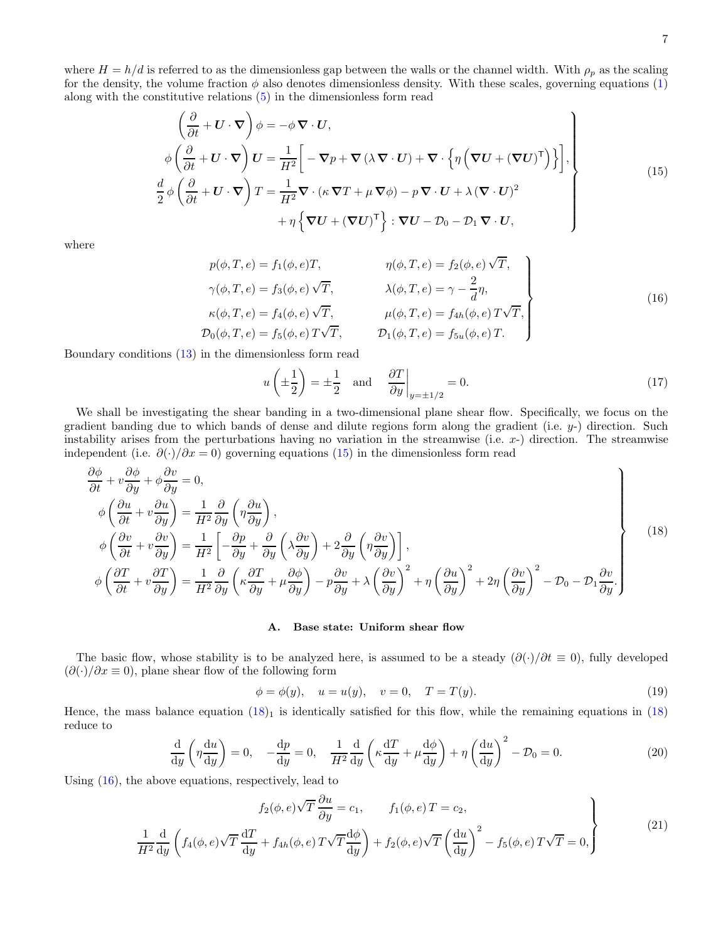where  $H = h/d$  is referred to as the dimensionless gap between the walls or the channel width. With  $\rho_p$  as the scaling for the density, the volume fraction  $\phi$  also denotes dimensionless density. With these scales, governing equations [\(1\)](#page-2-1) along with the constitutive relations [\(5\)](#page-3-2) in the dimensionless form read

$$
\left\{\frac{\partial}{\partial t} + \mathbf{U} \cdot \nabla\right)\phi = -\phi \nabla \cdot \mathbf{U},
$$
\n
$$
\phi \left(\frac{\partial}{\partial t} + \mathbf{U} \cdot \nabla\right) \mathbf{U} = \frac{1}{H^2} \left[ -\nabla p + \nabla (\lambda \nabla \cdot \mathbf{U}) + \nabla \cdot \left\{\eta \left(\nabla \mathbf{U} + (\nabla \mathbf{U})^{\mathsf{T}}\right)\right\}\right],
$$
\n
$$
\frac{d}{2} \phi \left(\frac{\partial}{\partial t} + \mathbf{U} \cdot \nabla\right) T = \frac{1}{H^2} \nabla \cdot (\kappa \nabla T + \mu \nabla \phi) - p \nabla \cdot \mathbf{U} + \lambda (\nabla \cdot \mathbf{U})^2
$$
\n
$$
+ \eta \left\{\nabla \mathbf{U} + (\nabla \mathbf{U})^{\mathsf{T}}\right\} : \nabla \mathbf{U} - \mathcal{D}_0 - \mathcal{D}_1 \nabla \cdot \mathbf{U},
$$
\n(15)

where

$$
p(\phi, T, e) = f_1(\phi, e)T,
$$
  
\n
$$
\gamma(\phi, T, e) = f_3(\phi, e) \sqrt{T},
$$
  
\n
$$
\kappa(\phi, T, e) = f_4(\phi, e) \sqrt{T},
$$
  
\n
$$
\kappa(\phi, T, e) = f_4(\phi, e) \sqrt{T},
$$
  
\n
$$
\mu(\phi, T, e) = f_{4\phi}(e) \sqrt{T},
$$
  
\n
$$
\kappa(\phi, T, e) = f_5(\phi, e) \sqrt{T},
$$
  
\n
$$
\kappa(\phi, T, e) = f_5(\phi, e) \sqrt{T},
$$
  
\n
$$
\kappa(\phi, T, e) = f_6(\phi, e) \sqrt{T},
$$
  
\n
$$
\kappa(\phi, T, e) = f_7(\phi, T, e) = f_{5u}(\phi, e) T.
$$
  
\n(16)

Boundary conditions [\(13\)](#page-5-3) in the dimensionless form read

<span id="page-6-3"></span><span id="page-6-2"></span><span id="page-6-0"></span>
$$
u\left(\pm \frac{1}{2}\right) = \pm \frac{1}{2} \quad \text{and} \quad \frac{\partial T}{\partial y}\Big|_{y=\pm 1/2} = 0. \tag{17}
$$

We shall be investigating the shear banding in a two-dimensional plane shear flow. Specifically, we focus on the gradient banding due to which bands of dense and dilute regions form along the gradient (i.e.  $y$ -) direction. Such instability arises from the perturbations having no variation in the streamwise (i.e.  $x$ -) direction. The streamwise independent (i.e.  $\partial(\cdot)/\partial x = 0$ ) governing equations [\(15\)](#page-6-0) in the dimensionless form read

$$
\frac{\partial \phi}{\partial t} + v \frac{\partial \phi}{\partial y} + \phi \frac{\partial v}{\partial y} = 0,
$$
\n
$$
\phi \left( \frac{\partial u}{\partial t} + v \frac{\partial u}{\partial y} \right) = \frac{1}{H^2} \frac{\partial}{\partial y} \left( \eta \frac{\partial u}{\partial y} \right),
$$
\n
$$
\phi \left( \frac{\partial v}{\partial t} + v \frac{\partial v}{\partial y} \right) = \frac{1}{H^2} \left[ -\frac{\partial p}{\partial y} + \frac{\partial}{\partial y} \left( \lambda \frac{\partial v}{\partial y} \right) + 2 \frac{\partial}{\partial y} \left( \eta \frac{\partial v}{\partial y} \right) \right],
$$
\n
$$
\phi \left( \frac{\partial T}{\partial t} + v \frac{\partial T}{\partial y} \right) = \frac{1}{H^2} \frac{\partial}{\partial y} \left( \kappa \frac{\partial T}{\partial y} + \mu \frac{\partial \phi}{\partial y} \right) - p \frac{\partial v}{\partial y} + \lambda \left( \frac{\partial v}{\partial y} \right)^2 + \eta \left( \frac{\partial u}{\partial y} \right)^2 + 2\eta \left( \frac{\partial v}{\partial y} \right)^2 - \mathcal{D}_0 - \mathcal{D}_1 \frac{\partial v}{\partial y}.
$$
\n(18)

### <span id="page-6-4"></span><span id="page-6-1"></span>A. Base state: Uniform shear flow

The basic flow, whose stability is to be analyzed here, is assumed to be a steady  $(\partial(\cdot)/\partial t \equiv 0)$ , fully developed  $(\partial(\cdot)/\partial x \equiv 0)$ , plane shear flow of the following form

$$
\phi = \phi(y), \quad u = u(y), \quad v = 0, \quad T = T(y).
$$
\n(19)

Hence, the mass balance equation  $(18)$ <sub>1</sub> is identically satisfied for this flow, while the remaining equations in  $(18)$ reduce to

$$
\frac{\mathrm{d}}{\mathrm{d}y} \left( \eta \frac{\mathrm{d}u}{\mathrm{d}y} \right) = 0, \quad -\frac{\mathrm{d}p}{\mathrm{d}y} = 0, \quad \frac{1}{H^2} \frac{\mathrm{d}}{\mathrm{d}y} \left( \kappa \frac{\mathrm{d}T}{\mathrm{d}y} + \mu \frac{\mathrm{d}\phi}{\mathrm{d}y} \right) + \eta \left( \frac{\mathrm{d}u}{\mathrm{d}y} \right)^2 - \mathcal{D}_0 = 0. \tag{20}
$$

Using [\(16\)](#page-6-2), the above equations, respectively, lead to

$$
f_2(\phi, e)\sqrt{T}\frac{\partial u}{\partial y} = c_1, \qquad f_1(\phi, e)\,T = c_2,\tag{21}
$$

$$
\frac{1}{H^2}\frac{\mathrm{d}}{\mathrm{d}y}\left(f_4(\phi,e)\sqrt{T}\frac{\mathrm{d}T}{\mathrm{d}y} + f_{4h}(\phi,e)T\sqrt{T}\frac{\mathrm{d}\phi}{\mathrm{d}y}\right) + f_2(\phi,e)\sqrt{T}\left(\frac{\mathrm{d}u}{\mathrm{d}y}\right)^2 - f_5(\phi,e)T\sqrt{T} = 0,\tag{21}
$$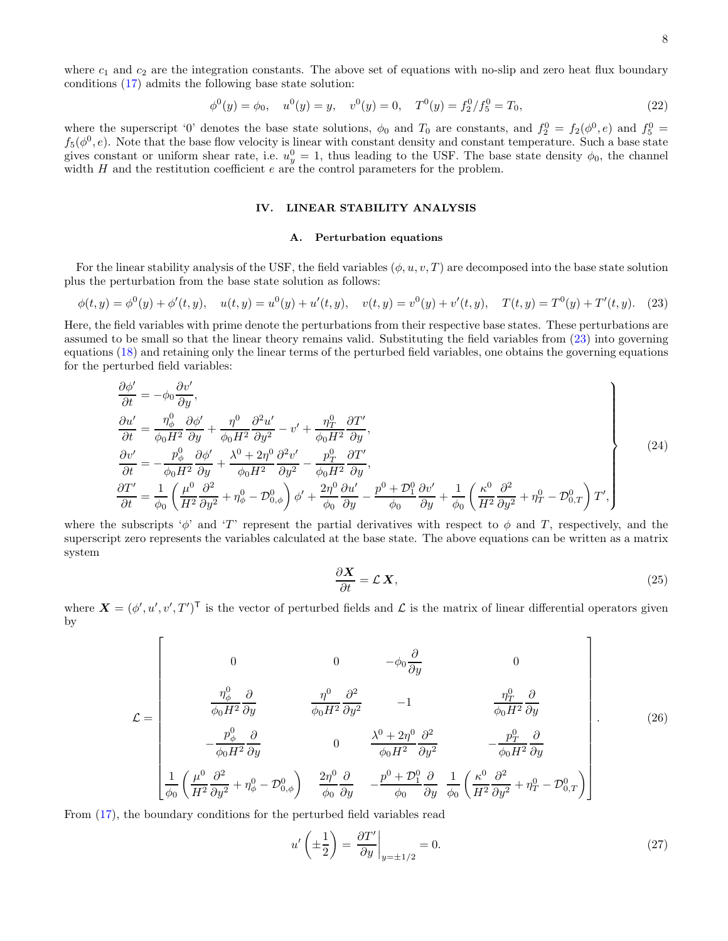where  $c_1$  and  $c_2$  are the integration constants. The above set of equations with no-slip and zero heat flux boundary conditions [\(17\)](#page-6-3) admits the following base state solution:

$$
\phi^{0}(y) = \phi_{0}, \quad u^{0}(y) = y, \quad v^{0}(y) = 0, \quad T^{0}(y) = f_{2}^{0}/f_{5}^{0} = T_{0}, \tag{22}
$$

where the superscript '0' denotes the base state solutions,  $\phi_0$  and  $T_0$  are constants, and  $f_2^0 = f_2(\phi^0, e)$  and  $f_5^0 =$  $f_5(\phi^0, e)$ . Note that the base flow velocity is linear with constant density and constant temperature. Such a base state gives constant or uniform shear rate, i.e.  $u_y^0 = 1$ , thus leading to the USF. The base state density  $\phi_0$ , the channel width  $H$  and the restitution coefficient  $e$  are the control parameters for the problem.

# <span id="page-7-0"></span>IV. LINEAR STABILITY ANALYSIS

#### <span id="page-7-1"></span>A. Perturbation equations

For the linear stability analysis of the USF, the field variables  $(\phi, u, v, T)$  are decomposed into the base state solution plus the perturbation from the base state solution as follows:

$$
\phi(t,y) = \phi^0(y) + \phi'(t,y), \quad u(t,y) = u^0(y) + u'(t,y), \quad v(t,y) = v^0(y) + v'(t,y), \quad T(t,y) = T^0(y) + T'(t,y).
$$
 (23)

Here, the field variables with prime denote the perturbations from their respective base states. These perturbations are assumed to be small so that the linear theory remains valid. Substituting the field variables from [\(23\)](#page-7-1) into governing equations [\(18\)](#page-6-1) and retaining only the linear terms of the perturbed field variables, one obtains the governing equations for the perturbed field variables:

$$
\begin{aligned}\n\frac{\partial \phi'}{\partial t} &= -\phi_0 \frac{\partial v'}{\partial y}, \\
\frac{\partial u'}{\partial t} &= \frac{\eta_{\phi}^0}{\phi_0 H^2} \frac{\partial \phi'}{\partial y} + \frac{\eta^0}{\phi_0 H^2} \frac{\partial^2 u'}{\partial y^2} - v' + \frac{\eta_T^0}{\phi_0 H^2} \frac{\partial T'}{\partial y}, \\
\frac{\partial v'}{\partial t} &= -\frac{p_{\phi}^0}{\phi_0 H^2} \frac{\partial \phi'}{\partial y} + \frac{\lambda^0 + 2\eta^0}{\phi_0 H^2} \frac{\partial^2 v'}{\partial y^2} - \frac{p_T^0}{\phi_0 H^2} \frac{\partial T'}{\partial y}, \\
\frac{\partial T'}{\partial t} &= \frac{1}{\phi_0} \left( \frac{\mu^0}{H^2} \frac{\partial^2}{\partial y^2} + \eta_{\phi}^0 - \mathcal{D}_{0,\phi}^0 \right) \phi' + \frac{2\eta^0}{\phi_0} \frac{\partial u'}{\partial y} - \frac{p^0 + \mathcal{D}_1^0}{\phi_0} \frac{\partial v'}{\partial y} + \frac{1}{\phi_0} \left( \frac{\kappa^0}{H^2} \frac{\partial^2}{\partial y^2} + \eta_T^0 - \mathcal{D}_{0,T}^0 \right) T',\n\end{aligned}
$$
\n(24)

where the subscripts ' $\phi$ ' and 'T' represent the partial derivatives with respect to  $\phi$  and T, respectively, and the superscript zero represents the variables calculated at the base state. The above equations can be written as a matrix system

<span id="page-7-2"></span>
$$
\frac{\partial \mathbf{X}}{\partial t} = \mathcal{L} \, \mathbf{X},\tag{25}
$$

where  $\mathbf{X} = (\phi', u', v', T')^{\mathsf{T}}$  is the vector of perturbed fields and  $\mathcal{L}$  is the matrix of linear differential operators given by

$$
\mathcal{L} = \begin{bmatrix}\n0 & 0 & -\phi_0 \frac{\partial}{\partial y} & 0 \\
\frac{\eta_{\phi}^0}{\phi_0 H^2} \frac{\partial}{\partial y} & \frac{\eta^0}{\phi_0 H^2} \frac{\partial^2}{\partial y^2} & -1 & \frac{\eta_T^0}{\phi_0 H^2} \frac{\partial}{\partial y} \\
-\frac{p_{\phi}^0}{\phi_0 H^2} \frac{\partial}{\partial y} & 0 & \frac{\lambda^0 + 2\eta^0}{\phi_0 H^2} \frac{\partial^2}{\partial y^2} & -\frac{p_T^0}{\phi_0 H^2} \frac{\partial}{\partial y} \\
\frac{1}{\phi_0} \left(\frac{\mu^0}{H^2} \frac{\partial^2}{\partial y^2} + \eta_{\phi}^0 - \mathcal{D}_{0,\phi}^0\right) & \frac{2\eta^0}{\phi_0} \frac{\partial}{\partial y} & -\frac{p^0 + \mathcal{D}_1^0}{\phi_0} \frac{\partial}{\partial y} & \frac{1}{\phi_0} \left(\frac{\kappa^0}{H^2} \frac{\partial^2}{\partial y^2} + \eta_T^0 - \mathcal{D}_{0,T}^0\right)\n\end{bmatrix}.
$$
\n(26)

From [\(17\)](#page-6-3), the boundary conditions for the perturbed field variables read

<span id="page-7-3"></span>
$$
u'\left(\pm\frac{1}{2}\right) = \left.\frac{\partial T'}{\partial y}\right|_{y=\pm 1/2} = 0.\tag{27}
$$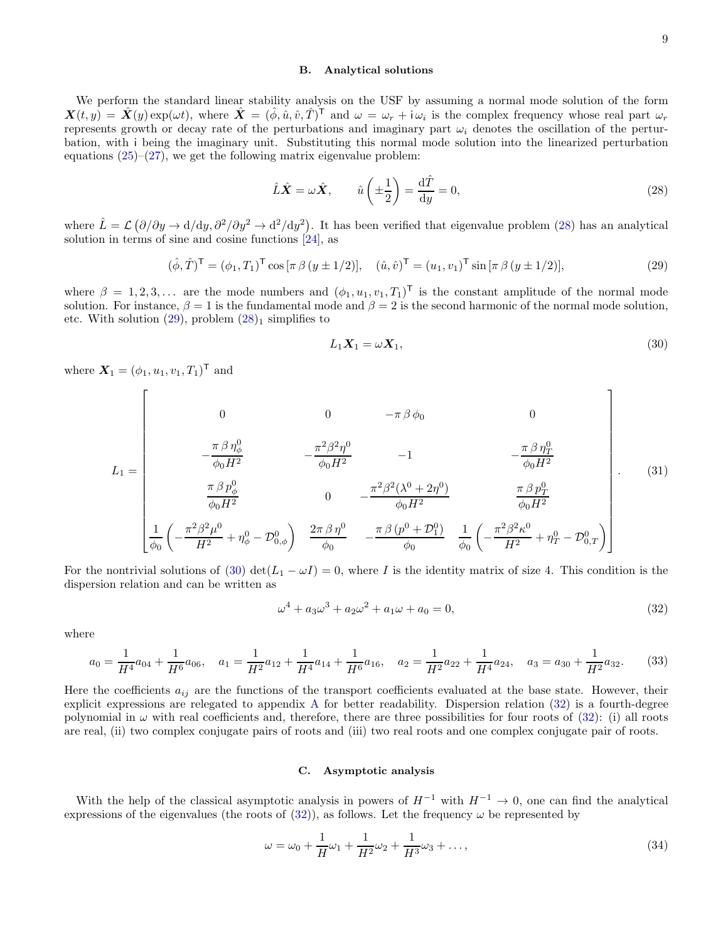### B. Analytical solutions

We perform the standard linear stability analysis on the USF by assuming a normal mode solution of the form  $\mathbf{X}(t, y) = \hat{\mathbf{X}}(y) \exp(\omega t)$ , where  $\hat{\mathbf{X}} = (\hat{\phi}, \hat{u}, \hat{v}, \hat{T})^{\mathsf{T}}$  and  $\omega = \omega_r + i \omega_i$  is the complex frequency whose real part  $\omega_r$ represents growth or decay rate of the perturbations and imaginary part  $\omega_i$  denotes the oscillation of the perturbation, with i being the imaginary unit. Substituting this normal mode solution into the linearized perturbation equations  $(25)-(27)$  $(25)-(27)$ , we get the following matrix eigenvalue problem:

<span id="page-8-0"></span>
$$
\hat{L}\hat{X} = \omega \hat{X}, \qquad \hat{u}\left(\pm \frac{1}{2}\right) = \frac{\mathrm{d}\hat{T}}{\mathrm{d}y} = 0,
$$
\n(28)

where  $\hat{L} = \mathcal{L} (\partial/\partial y \rightarrow d/dy, \partial^2/\partial y^2 \rightarrow d^2/dy^2)$ . It has been verified that eigenvalue problem [\(28\)](#page-8-0) has an analytical solution in terms of sine and cosine functions [\[24\]](#page-19-8), as

$$
(\hat{\phi}, \hat{T})^{\mathsf{T}} = (\phi_1, T_1)^{\mathsf{T}} \cos[\pi \beta (y \pm 1/2)], \quad (\hat{u}, \hat{v})^{\mathsf{T}} = (u_1, v_1)^{\mathsf{T}} \sin[\pi \beta (y \pm 1/2)], \tag{29}
$$

where  $\beta = 1, 2, 3, \ldots$  are the mode numbers and  $(\phi_1, u_1, v_1, T_1)$ <sup>T</sup> is the constant amplitude of the normal mode solution. For instance,  $\beta = 1$  is the fundamental mode and  $\beta = 2$  is the second harmonic of the normal mode solution, etc. With solution  $(29)$ , problem  $(28)_1$  simplifies to

<span id="page-8-2"></span><span id="page-8-1"></span>
$$
L_1 X_1 = \omega X_1,\tag{30}
$$

where  $X_1 = (\phi_1, u_1, v_1, T_1)^{\mathsf{T}}$  and

$$
L_{1} = \begin{bmatrix}\n0 & 0 & -\pi \beta \phi_{0} & 0 \\
-\frac{\pi \beta \eta_{\phi}^{0}}{\phi_{0} H^{2}} & -\frac{\pi^{2} \beta^{2} \eta^{0}}{\phi_{0} H^{2}} & -1 & -\frac{\pi \beta \eta_{T}^{0}}{\phi_{0} H^{2}} \\
\frac{\pi \beta p_{\phi}^{0}}{\phi_{0} H^{2}} & 0 & -\frac{\pi^{2} \beta^{2} (\lambda^{0} + 2\eta^{0})}{\phi_{0} H^{2}} & \frac{\pi \beta p_{T}^{0}}{\phi_{0} H^{2}} \\
\frac{1}{\phi_{0}} \left(-\frac{\pi^{2} \beta^{2} \mu^{0}}{H^{2}} + \eta_{\phi}^{0} - \mathcal{D}_{0,\phi}^{0}\right) & \frac{2\pi \beta \eta^{0}}{\phi_{0}} & -\frac{\pi \beta (p^{0} + \mathcal{D}_{1}^{0})}{\phi_{0}} & \frac{1}{\phi_{0}} \left(-\frac{\pi^{2} \beta^{2} \kappa^{0}}{H^{2}} + \eta_{T}^{0} - \mathcal{D}_{0,T}^{0}\right)\n\end{bmatrix}.
$$
\n(31)

For the nontrivial solutions of [\(30\)](#page-8-2) det $(L_1 - \omega I) = 0$ , where I is the identity matrix of size 4. This condition is the dispersion relation and can be written as

<span id="page-8-3"></span>
$$
\omega^4 + a_3 \omega^3 + a_2 \omega^2 + a_1 \omega + a_0 = 0,\tag{32}
$$

where

$$
a_0 = \frac{1}{H^4}a_{04} + \frac{1}{H^6}a_{06}, \quad a_1 = \frac{1}{H^2}a_{12} + \frac{1}{H^4}a_{14} + \frac{1}{H^6}a_{16}, \quad a_2 = \frac{1}{H^2}a_{22} + \frac{1}{H^4}a_{24}, \quad a_3 = a_{30} + \frac{1}{H^2}a_{32}.\tag{33}
$$

Here the coefficients  $a_{ij}$  are the functions of the transport coefficients evaluated at the base state. However, their explicit expressions are relegated to appendix [A](#page-18-3) for better readability. Dispersion relation [\(32\)](#page-8-3) is a fourth-degree polynomial in  $\omega$  with real coefficients and, therefore, there are three possibilities for four roots of [\(32\)](#page-8-3): (i) all roots are real, (ii) two complex conjugate pairs of roots and (iii) two real roots and one complex conjugate pair of roots.

### <span id="page-8-6"></span><span id="page-8-5"></span><span id="page-8-4"></span>C. Asymptotic analysis

With the help of the classical asymptotic analysis in powers of  $H^{-1}$  with  $H^{-1} \to 0$ , one can find the analytical expressions of the eigenvalues (the roots of  $(32)$ ), as follows. Let the frequency  $\omega$  be represented by

$$
\omega = \omega_0 + \frac{1}{H}\omega_1 + \frac{1}{H^2}\omega_2 + \frac{1}{H^3}\omega_3 + \dots,\tag{34}
$$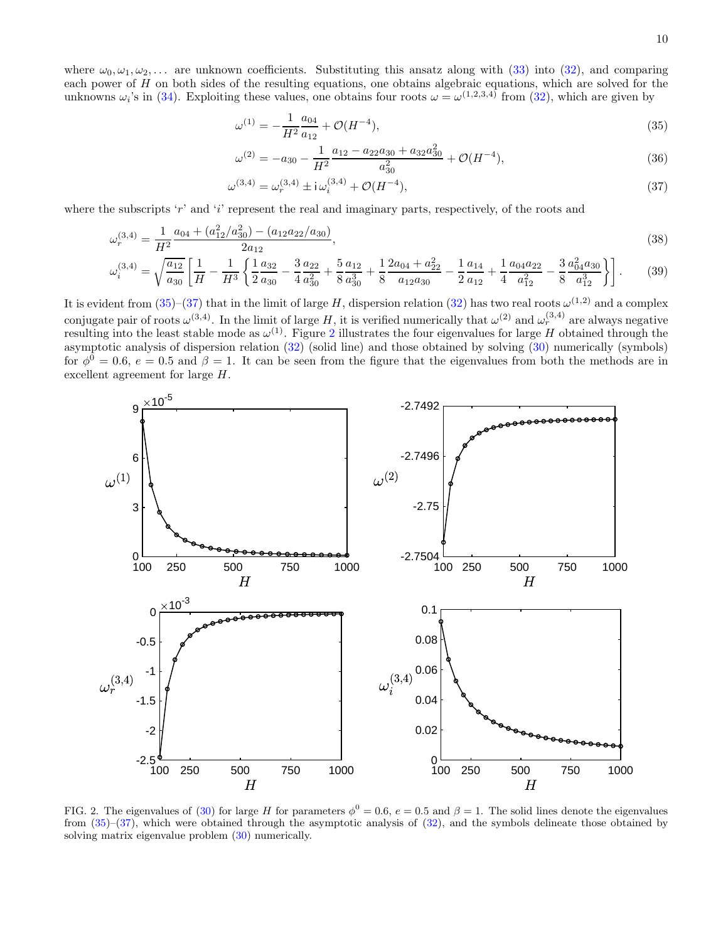where  $\omega_0, \omega_1, \omega_2, \ldots$  are unknown coefficients. Substituting this ansatz along with [\(33\)](#page-8-4) into [\(32\)](#page-8-3), and comparing each power of  $H$  on both sides of the resulting equations, one obtains algebraic equations, which are solved for the unknowns  $\omega_i$ 's in [\(34\)](#page-8-5). Exploiting these values, one obtains four roots  $\omega = \omega^{(1,2,3,4)}$  from [\(32\)](#page-8-3), which are given by

$$
\omega^{(1)} = -\frac{1}{H^2} \frac{a_{04}}{a_{12}} + \mathcal{O}(H^{-4}),\tag{35}
$$

<span id="page-9-1"></span><span id="page-9-0"></span>
$$
\omega^{(2)} = -a_{30} - \frac{1}{H^2} \frac{a_{12} - a_{22}a_{30} + a_{32}a_{30}^2}{a_{30}^2} + \mathcal{O}(H^{-4}),\tag{36}
$$

$$
\omega^{(3,4)} = \omega_r^{(3,4)} \pm i \omega_i^{(3,4)} + \mathcal{O}(H^{-4}),\tag{37}
$$

where the subscripts 'r' and 'i' represent the real and imaginary parts, respectively, of the roots and

$$
\omega_r^{(3,4)} = \frac{1}{H^2} \frac{a_{04} + (a_{12}^2/a_{30}^2) - (a_{12}a_{22}/a_{30})}{2a_{12}},\tag{38}
$$

$$
\omega_i^{(3,4)} = \sqrt{\frac{a_{12}}{a_{30}}} \left[ \frac{1}{H} - \frac{1}{H^3} \left\{ \frac{1}{2} \frac{a_{32}}{a_{30}} - \frac{3}{4} \frac{a_{22}}{a_{30}^2} + \frac{5}{8} \frac{a_{12}}{a_{30}^3} + \frac{1}{8} \frac{2a_{04} + a_{22}^2}{a_{12} a_{30}} - \frac{1}{2} \frac{a_{14}}{a_{12}} + \frac{1}{4} \frac{a_{04} a_{22}}{a_{12}^2} - \frac{3}{8} \frac{a_{04}^2 a_{30}}{a_{12}^3} \right] \right].
$$
 (39)

It is evident from  $(35)-(37)$  $(35)-(37)$  that in the limit of large H, dispersion relation  $(32)$  has two real roots  $\omega^{(1,2)}$  and a complex conjugate pair of roots  $\omega^{(3,4)}$ . In the limit of large H, it is verified numerically that  $\omega^{(2)}$  and  $\omega_r^{(3,4)}$  are always negative resulting into the least stable mode as  $\omega^{(1)}$ . Figure [2](#page-9-2) illustrates the four eigenvalues for large H obtained through the asymptotic analysis of dispersion relation  $(32)$  (solid line) and those obtained by solving  $(30)$  numerically (symbols) for  $\phi^0 = 0.6$ ,  $e = 0.5$  and  $\beta = 1$ . It can be seen from the figure that the eigenvalues from both the methods are in excellent agreement for large H.



<span id="page-9-2"></span>FIG. 2. The eigenvalues of [\(30\)](#page-8-2) for large H for parameters  $\phi^0 = 0.6$ ,  $e = 0.5$  and  $\beta = 1$ . The solid lines denote the eigenvalues from  $(35)-(37)$  $(35)-(37)$ , which were obtained through the asymptotic analysis of  $(32)$ , and the symbols delineate those obtained by solving matrix eigenvalue problem [\(30\)](#page-8-2) numerically.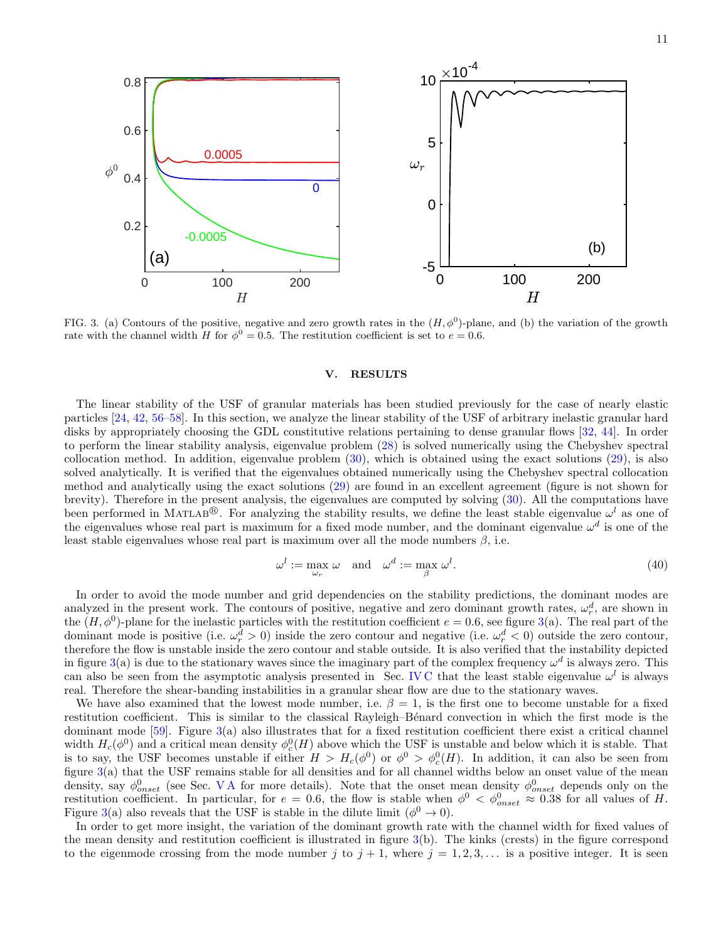

<span id="page-10-1"></span>FIG. 3. (a) Contours of the positive, negative and zero growth rates in the  $(H, \phi^0)$ -plane, and (b) the variation of the growth rate with the channel width H for  $\phi^0 = 0.5$ . The restitution coefficient is set to  $e = 0.6$ .

#### <span id="page-10-0"></span>V. RESULTS

The linear stability of the USF of granular materials has been studied previously for the case of nearly elastic particles [\[24](#page-19-8), [42,](#page-19-23) [56](#page-20-13)[–58\]](#page-20-14). In this section, we analyze the linear stability of the USF of arbitrary inelastic granular hard disks by appropriately choosing the GDL constitutive relations pertaining to dense granular flows [\[32,](#page-19-24) [44\]](#page-20-1). In order to perform the linear stability analysis, eigenvalue problem [\(28\)](#page-8-0) is solved numerically using the Chebyshev spectral collocation method. In addition, eigenvalue problem  $(30)$ , which is obtained using the exact solutions  $(29)$ , is also solved analytically. It is verified that the eigenvalues obtained numerically using the Chebyshev spectral collocation method and analytically using the exact solutions [\(29\)](#page-8-1) are found in an excellent agreement (figure is not shown for brevity). Therefore in the present analysis, the eigenvalues are computed by solving [\(30\)](#page-8-2). All the computations have been performed in MATLAB<sup>®</sup>. For analyzing the stability results, we define the least stable eigenvalue  $\omega^l$  as one of the eigenvalues whose real part is maximum for a fixed mode number, and the dominant eigenvalue  $\omega^d$  is one of the least stable eigenvalues whose real part is maximum over all the mode numbers  $\beta$ , i.e.

$$
\omega^l := \max_{\omega_r} \omega \quad \text{and} \quad \omega^d := \max_{\beta} \omega^l. \tag{40}
$$

In order to avoid the mode number and grid dependencies on the stability predictions, the dominant modes are analyzed in the present work. The contours of positive, negative and zero dominant growth rates,  $\omega_r^d$ , are shown in the  $(H, \phi^0)$ -plane for the inelastic particles with the restitution coefficient  $e = 0.6$ , see figure [3\(](#page-10-1)a). The real part of the dominant mode is positive (i.e.  $\omega_r^d > 0$ ) inside the zero contour and negative (i.e.  $\omega_r^d < 0$ ) outside the zero contour, therefore the flow is unstable inside the zero contour and stable outside. It is also verified that the instability depicted in figure [3\(](#page-10-1)a) is due to the stationary waves since the imaginary part of the complex frequency  $\omega^d$  is always zero. This can also be seen from the asymptotic analysis presented in Sec. IVC that the least stable eigenvalue  $\omega^l$  is always real. Therefore the shear-banding instabilities in a granular shear flow are due to the stationary waves.

We have also examined that the lowest mode number, i.e.  $\beta = 1$ , is the first one to become unstable for a fixed restitution coefficient. This is similar to the classical Rayleigh–Bénard convection in which the first mode is the dominant mode  $[59]$ . Figure  $3(a)$  $3(a)$  also illustrates that for a fixed restitution coefficient there exist a critical channel width  $H_c(\phi^0)$  and a critical mean density  $\phi_c^0(H)$  above which the USF is unstable and below which it is stable. That is to say, the USF becomes unstable if either  $H > H_c(\phi^0)$  or  $\phi^0 > \phi_c^0(H)$ . In addition, it can also be seen from figure [3\(](#page-10-1)a) that the USF remains stable for all densities and for all channel widths below an onset value of the mean density, say  $\phi_{onset}^0$  (see Sec. VA for more details). Note that the onset mean density  $\phi_{onset}^0$  depends only on the restitution coefficient. In particular, for  $e = 0.6$ , the flow is stable when  $\phi^0 < \phi_{onset}^0 \approx 0.38$  for all values of H. Figure [3\(](#page-10-1)a) also reveals that the USF is stable in the dilute limit ( $\phi^0 \to 0$ ).

In order to get more insight, the variation of the dominant growth rate with the channel width for fixed values of the mean density and restitution coefficient is illustrated in figure [3\(](#page-10-1)b). The kinks (crests) in the figure correspond to the eigenmode crossing from the mode number j to  $j + 1$ , where  $j = 1, 2, 3, \ldots$  is a positive integer. It is seen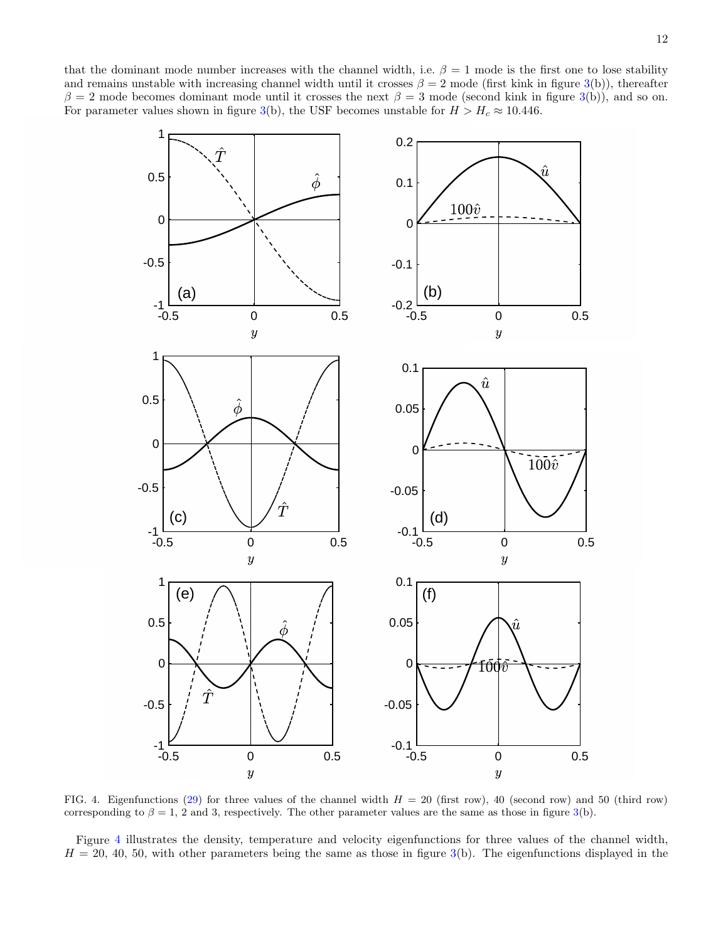that the dominant mode number increases with the channel width, i.e.  $\beta = 1$  mode is the first one to lose stability and remains unstable with increasing channel width until it crosses  $\beta = 2$  mode (first kink in figure [3\(](#page-10-1)b)), thereafter  $\beta = 2$  mode becomes dominant mode until it crosses the next  $\beta = 3$  mode (second kink in figure [3\(](#page-10-1)b)), and so on. For parameter values shown in figure [3\(](#page-10-1)b), the USF becomes unstable for  $H > H_c \approx 10.446$ .



<span id="page-11-0"></span>FIG. 4. Eigenfunctions [\(29\)](#page-8-1) for three values of the channel width  $H = 20$  (first row), 40 (second row) and 50 (third row) corresponding to  $\beta = 1$ , 2 and 3, respectively. The other parameter values are the same as those in figure [3\(](#page-10-1)b).

Figure [4](#page-11-0) illustrates the density, temperature and velocity eigenfunctions for three values of the channel width,  $H = 20, 40, 50,$  with other parameters being the same as those in figure [3\(](#page-10-1)b). The eigenfunctions displayed in the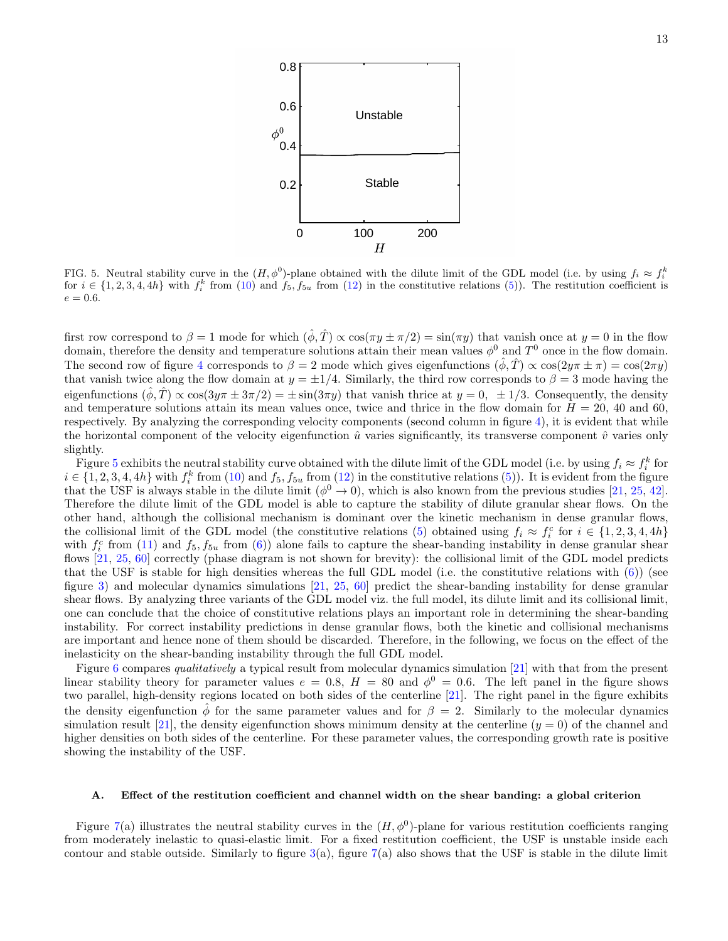

<span id="page-12-1"></span>FIG. 5. Neutral stability curve in the  $(H, \phi^0)$ -plane obtained with the dilute limit of the GDL model (i.e. by using  $f_i \approx f_i^k$ for  $i \in \{1, 2, 3, 4, 4h\}$  with  $f_i^k$  from  $(10)$  and  $f_5, f_{5u}$  from  $(12)$  in the constitutive relations  $(5)$ ). The restitution coefficient is  $e = 0.6.$ 

first row correspond to  $\beta = 1$  mode for which  $(\hat{\phi}, \hat{T}) \propto \cos(\pi y \pm \pi/2) = \sin(\pi y)$  that vanish once at  $y = 0$  in the flow domain, therefore the density and temperature solutions attain their mean values  $\phi^0$  and  $T^0$  once in the flow domain. The second row of figure [4](#page-11-0) corresponds to  $\beta = 2$  mode which gives eigenfunctions  $(\hat{\phi}, \hat{T}) \propto \cos(2y\pi \pm \pi) = \cos(2\pi y)$ that vanish twice along the flow domain at  $y = \pm 1/4$ . Similarly, the third row corresponds to  $\beta = 3$  mode having the eigenfunctions  $(\hat{\phi}, \hat{T}) \propto \cos(3\eta \pi \pm 3\pi/2) = \pm \sin(3\pi \eta)$  that vanish thrice at  $\eta = 0, \pm 1/3$ . Consequently, the density and temperature solutions attain its mean values once, twice and thrice in the flow domain for  $H = 20, 40$  and 60, respectively. By analyzing the corresponding velocity components (second column in figure [4\)](#page-11-0), it is evident that while the horizontal component of the velocity eigenfunction  $\hat{u}$  varies significantly, its transverse component  $\hat{v}$  varies only slightly.

Figure [5](#page-12-1) exhibits the neutral stability curve obtained with the dilute limit of the GDL model (i.e. by using  $f_i \approx f_i^k$  for  $i \in \{1, 2, 3, 4, 4h\}$  with  $f_i^k$  from [\(10\)](#page-4-1) and  $f_5, f_{5u}$  from [\(12\)](#page-5-1) in the constitutive relations [\(5\)](#page-3-2)). It is evident from the figure that the USF is always stable in the dilute limit  $(\phi^0 \to 0)$ , which is also known from the previous studies [\[21,](#page-19-7) [25,](#page-19-12) [42\]](#page-19-23). Therefore the dilute limit of the GDL model is able to capture the stability of dilute granular shear flows. On the other hand, although the collisional mechanism is dominant over the kinetic mechanism in dense granular flows, the collisional limit of the GDL model (the constitutive relations [\(5\)](#page-3-2) obtained using  $f_i \approx f_i^c$  for  $i \in \{1, 2, 3, 4, 4h\}$ with  $f_i^c$  from [\(11\)](#page-4-2) and  $f_5, f_{5u}$  from [\(6\)](#page-3-1)) alone fails to capture the shear-banding instability in dense granular shear flows [\[21,](#page-19-7) [25,](#page-19-12) [60\]](#page-20-16) correctly (phase diagram is not shown for brevity): the collisional limit of the GDL model predicts that the USF is stable for high densities whereas the full GDL model (i.e. the constitutive relations with  $(6)$ ) (see figure [3\)](#page-10-1) and molecular dynamics simulations [\[21,](#page-19-7) [25,](#page-19-12) [60\]](#page-20-16) predict the shear-banding instability for dense granular shear flows. By analyzing three variants of the GDL model viz. the full model, its dilute limit and its collisional limit, one can conclude that the choice of constitutive relations plays an important role in determining the shear-banding instability. For correct instability predictions in dense granular flows, both the kinetic and collisional mechanisms are important and hence none of them should be discarded. Therefore, in the following, we focus on the effect of the inelasticity on the shear-banding instability through the full GDL model.

Figure [6](#page-13-0) compares qualitatively a typical result from molecular dynamics simulation [\[21\]](#page-19-7) with that from the present linear stability theory for parameter values  $e = 0.8$ ,  $H = 80$  and  $\phi^0 = 0.6$ . The left panel in the figure shows two parallel, high-density regions located on both sides of the centerline [\[21](#page-19-7)]. The right panel in the figure exhibits the density eigenfunction  $\hat{\phi}$  for the same parameter values and for  $\beta = 2$ . Similarly to the molecular dynamics simulation result [\[21](#page-19-7)], the density eigenfunction shows minimum density at the centerline  $(y = 0)$  of the channel and higher densities on both sides of the centerline. For these parameter values, the corresponding growth rate is positive showing the instability of the USF.

#### <span id="page-12-0"></span>A. Effect of the restitution coefficient and channel width on the shear banding: a global criterion

Figure [7\(](#page-13-1)a) illustrates the neutral stability curves in the  $(H, \phi^0)$ -plane for various restitution coefficients ranging from moderately inelastic to quasi-elastic limit. For a fixed restitution coefficient, the USF is unstable inside each contour and stable outside. Similarly to figure  $3(a)$  $3(a)$ , figure  $7(a)$  $7(a)$  also shows that the USF is stable in the dilute limit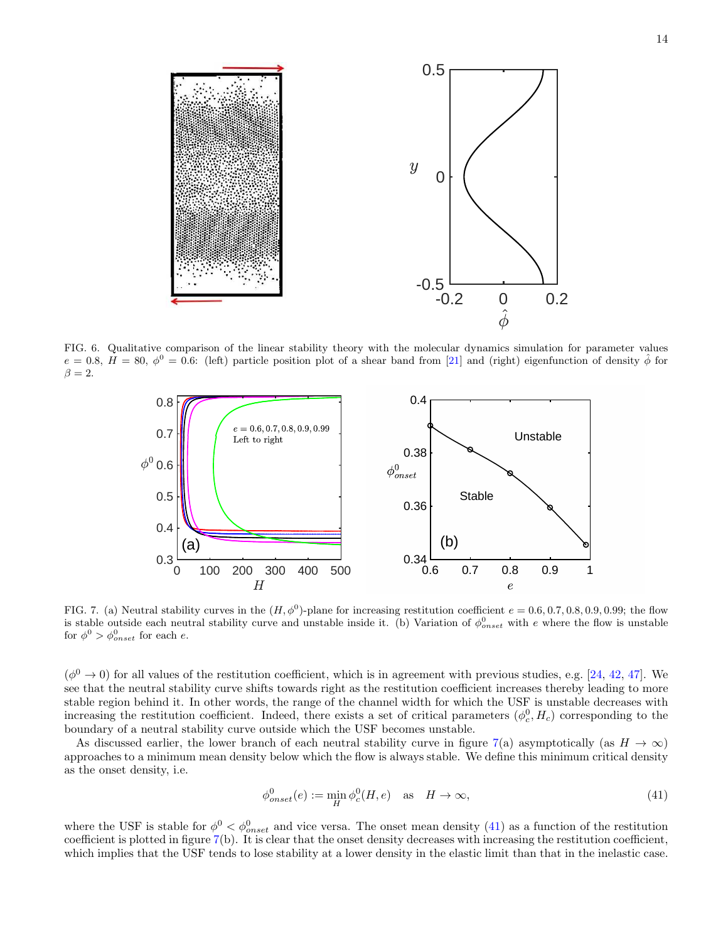

FIG. 6. Qualitative comparison of the linear stability theory with the molecular dynamics simulation for parameter values  $e = 0.8, H = 80, \phi^0 = 0.6$ : (left) particle position plot of a shear band from [\[21\]](#page-19-7) and (right) eigenfunction of density  $\hat{\phi}$  for  $\beta = 2.$ 

<span id="page-13-0"></span>

<span id="page-13-1"></span>FIG. 7. (a) Neutral stability curves in the  $(H, \phi^0)$ -plane for increasing restitution coefficient  $e = 0.6, 0.7, 0.8, 0.9, 0.99$ ; the flow is stable outside each neutral stability curve and unstable inside it. (b) Variation of  $\phi_{onset}^0$  with e where the flow is unstable for  $\phi^0 > \phi_{onset}^0$  for each e.

 $(\phi^0 \to 0)$  for all values of the restitution coefficient, which is in agreement with previous studies, e.g. [\[24,](#page-19-8) [42,](#page-19-23) [47](#page-20-4)]. We see that the neutral stability curve shifts towards right as the restitution coefficient increases thereby leading to more stable region behind it. In other words, the range of the channel width for which the USF is unstable decreases with increasing the restitution coefficient. Indeed, there exists a set of critical parameters  $(\phi_c^0, H_c)$  corresponding to the boundary of a neutral stability curve outside which the USF becomes unstable.

As discussed earlier, the lower branch of each neutral stability curve in figure [7\(](#page-13-1)a) asymptotically (as  $H \to \infty$ ) approaches to a minimum mean density below which the flow is always stable. We define this minimum critical density as the onset density, i.e.

<span id="page-13-2"></span>
$$
\phi_{onset}^0(e) := \min_H \phi_c^0(H, e) \quad \text{as} \quad H \to \infty,
$$
\n(41)

where the USF is stable for  $\phi^0 < \phi_{onset}^0$  and vice versa. The onset mean density [\(41\)](#page-13-2) as a function of the restitution coefficient is plotted in figure [7\(](#page-13-1)b). It is clear that the onset density decreases with increasing the restitution coefficient, which implies that the USF tends to lose stability at a lower density in the elastic limit than that in the inelastic case.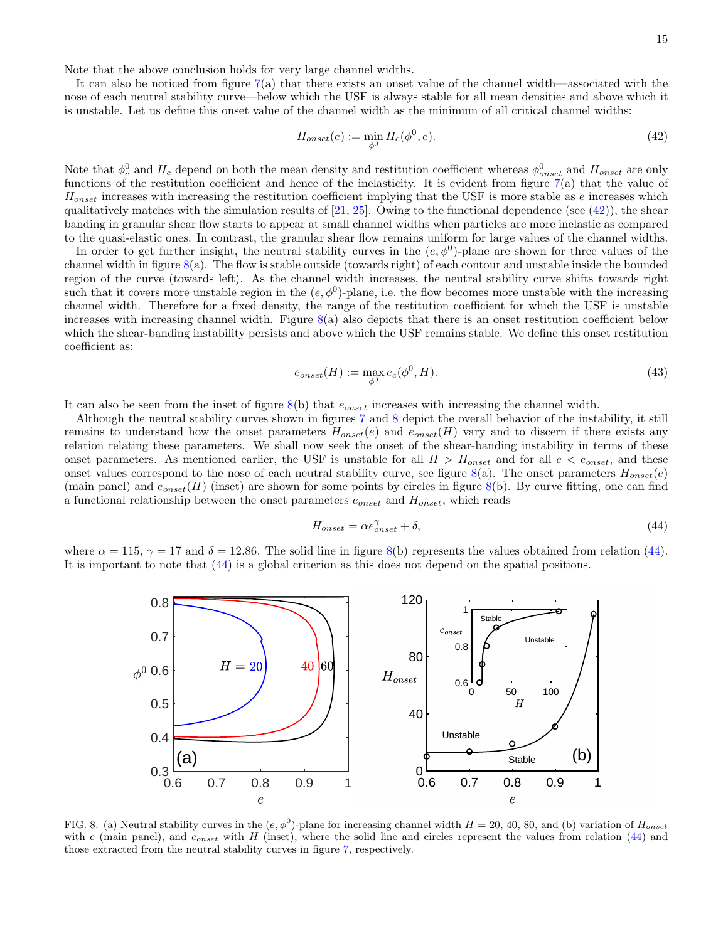It can also be noticed from figure  $7(a)$  $7(a)$  that there exists an onset value of the channel width—associated with the nose of each neutral stability curve—below which the USF is always stable for all mean densities and above which it is unstable. Let us define this onset value of the channel width as the minimum of all critical channel widths:

<span id="page-14-0"></span>
$$
H_{onset}(e) := \min_{\phi^0} H_c(\phi^0, e). \tag{42}
$$

Note that  $\phi_c^0$  and  $H_c$  depend on both the mean density and restitution coefficient whereas  $\phi_{onset}^0$  and  $H_{onset}$  are only functions of the restitution coefficient and hence of the inelasticity. It is evident from figure  $7(a)$  $7(a)$  that the value of  $H_{onset}$  increases with increasing the restitution coefficient implying that the USF is more stable as  $e$  increases which qualitatively matches with the simulation results of  $[21, 25]$  $[21, 25]$ . Owing to the functional dependence (see  $(42)$ ), the shear banding in granular shear flow starts to appear at small channel widths when particles are more inelastic as compared to the quasi-elastic ones. In contrast, the granular shear flow remains uniform for large values of the channel widths.

In order to get further insight, the neutral stability curves in the  $(e, \phi^0)$ -plane are shown for three values of the channel width in figure  $8(a)$  $8(a)$ . The flow is stable outside (towards right) of each contour and unstable inside the bounded region of the curve (towards left). As the channel width increases, the neutral stability curve shifts towards right such that it covers more unstable region in the  $(e, \phi^0)$ -plane, i.e. the flow becomes more unstable with the increasing channel width. Therefore for a fixed density, the range of the restitution coefficient for which the USF is unstable increases with increasing channel width. Figure  $8(a)$  $8(a)$  also depicts that there is an onset restitution coefficient below which the shear-banding instability persists and above which the USF remains stable. We define this onset restitution coefficient as:

$$
e_{onset}(H) := \max_{\phi^0} e_c(\phi^0, H). \tag{43}
$$

It can also be seen from the inset of figure  $8(b)$  $8(b)$  that  $e_{onset}$  increases with increasing the channel width.

Although the neutral stability curves shown in figures [7](#page-13-1) and [8](#page-14-1) depict the overall behavior of the instability, it still remains to understand how the onset parameters  $H_{onset}(e)$  and  $e_{onset}(H)$  vary and to discern if there exists any relation relating these parameters. We shall now seek the onset of the shear-banding instability in terms of these onset parameters. As mentioned earlier, the USF is unstable for all  $H > H_{onset}$  and for all  $e < e_{onset}$ , and these onset values correspond to the nose of each neutral stability curve, see figure  $8(a)$  $8(a)$ . The onset parameters  $H_{onset}(e)$ (main panel) and  $e_{onset}(H)$  (inset) are shown for some points by circles in figure [8\(](#page-14-1)b). By curve fitting, one can find a functional relationship between the onset parameters  $e_{onset}$  and  $H_{onset}$ , which reads

<span id="page-14-2"></span>
$$
H_{onset} = \alpha e_{onset}^{\gamma} + \delta,\tag{44}
$$

where  $\alpha = 115$ ,  $\gamma = 17$  and  $\delta = 12.86$ . The solid line in figure [8\(](#page-14-1)b) represents the values obtained from relation [\(44\)](#page-14-2). It is important to note that [\(44\)](#page-14-2) is a global criterion as this does not depend on the spatial positions.



<span id="page-14-1"></span>FIG. 8. (a) Neutral stability curves in the  $(e, \phi^0)$ -plane for increasing channel width  $H = 20, 40, 80,$  and (b) variation of  $H_{onset}$ with e (main panel), and  $e_{onset}$  with H (inset), where the solid line and circles represent the values from relation [\(44\)](#page-14-2) and those extracted from the neutral stability curves in figure [7,](#page-13-1) respectively.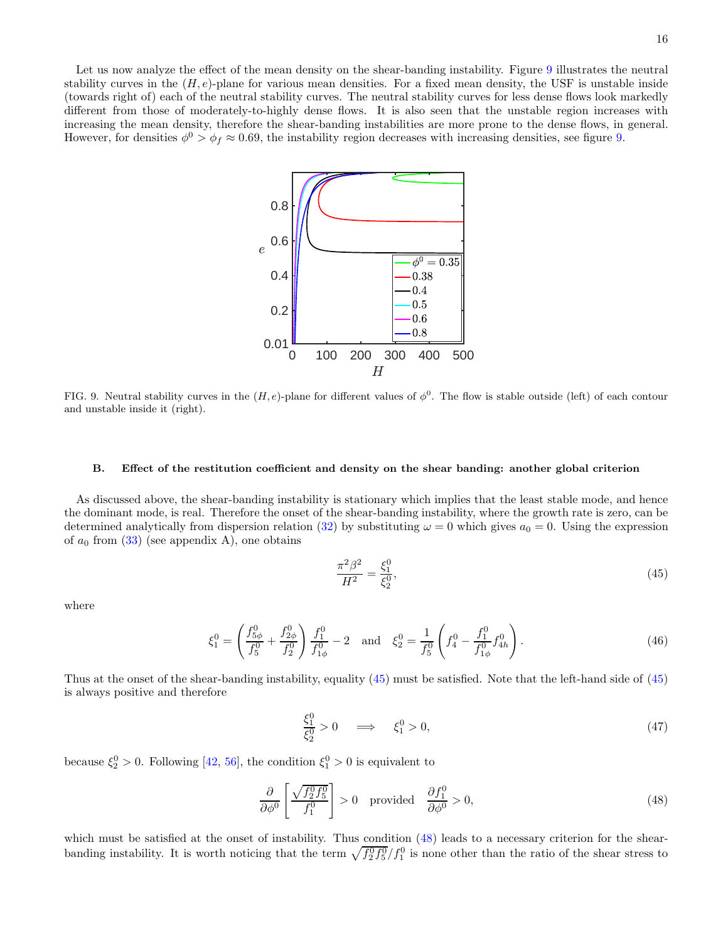Let us now analyze the effect of the mean density on the shear-banding instability. Figure [9](#page-15-0) illustrates the neutral stability curves in the  $(H, e)$ -plane for various mean densities. For a fixed mean density, the USF is unstable inside (towards right of) each of the neutral stability curves. The neutral stability curves for less dense flows look markedly different from those of moderately-to-highly dense flows. It is also seen that the unstable region increases with increasing the mean density, therefore the shear-banding instabilities are more prone to the dense flows, in general. However, for densities  $\phi^0 > \phi_f \approx 0.69$ , the instability region decreases with increasing densities, see figure [9.](#page-15-0)



<span id="page-15-0"></span>FIG. 9. Neutral stability curves in the  $(H, e)$ -plane for different values of  $\phi^0$ . The flow is stable outside (left) of each contour and unstable inside it (right).

#### B. Effect of the restitution coefficient and density on the shear banding: another global criterion

As discussed above, the shear-banding instability is stationary which implies that the least stable mode, and hence the dominant mode, is real. Therefore the onset of the shear-banding instability, where the growth rate is zero, can be determined analytically from dispersion relation [\(32\)](#page-8-3) by substituting  $\omega = 0$  which gives  $a_0 = 0$ . Using the expression of  $a_0$  from  $(33)$  (see appendix A), one obtains

<span id="page-15-1"></span>
$$
\frac{\pi^2 \beta^2}{H^2} = \frac{\xi_1^0}{\xi_2^0},\tag{45}
$$

where

$$
\xi_1^0 = \left(\frac{f_{5\phi}^0}{f_5^0} + \frac{f_{2\phi}^0}{f_2^0}\right) \frac{f_1^0}{f_{1\phi}^0} - 2 \quad \text{and} \quad \xi_2^0 = \frac{1}{f_5^0} \left(f_4^0 - \frac{f_1^0}{f_{1\phi}^0} f_{4h}^0\right). \tag{46}
$$

Thus at the onset of the shear-banding instability, equality [\(45\)](#page-15-1) must be satisfied. Note that the left-hand side of [\(45\)](#page-15-1) is always positive and therefore

<span id="page-15-2"></span>
$$
\frac{\xi_1^0}{\xi_2^0} > 0 \quad \implies \quad \xi_1^0 > 0,\tag{47}
$$

because  $\xi_2^0 > 0$ . Following [\[42](#page-19-23), [56](#page-20-13)], the condition  $\xi_1^0 > 0$  is equivalent to

$$
\frac{\partial}{\partial \phi^0} \left[ \frac{\sqrt{f_2^0 f_5^0}}{f_1^0} \right] > 0 \quad \text{provided} \quad \frac{\partial f_1^0}{\partial \phi^0} > 0,
$$
\n(48)

which must be satisfied at the onset of instability. Thus condition  $(48)$  leads to a necessary criterion for the shearbanding instability. It is worth noticing that the term  $\sqrt{f_2^0 f_5^0} / f_1^0$  is none other than the ratio of the shear stress to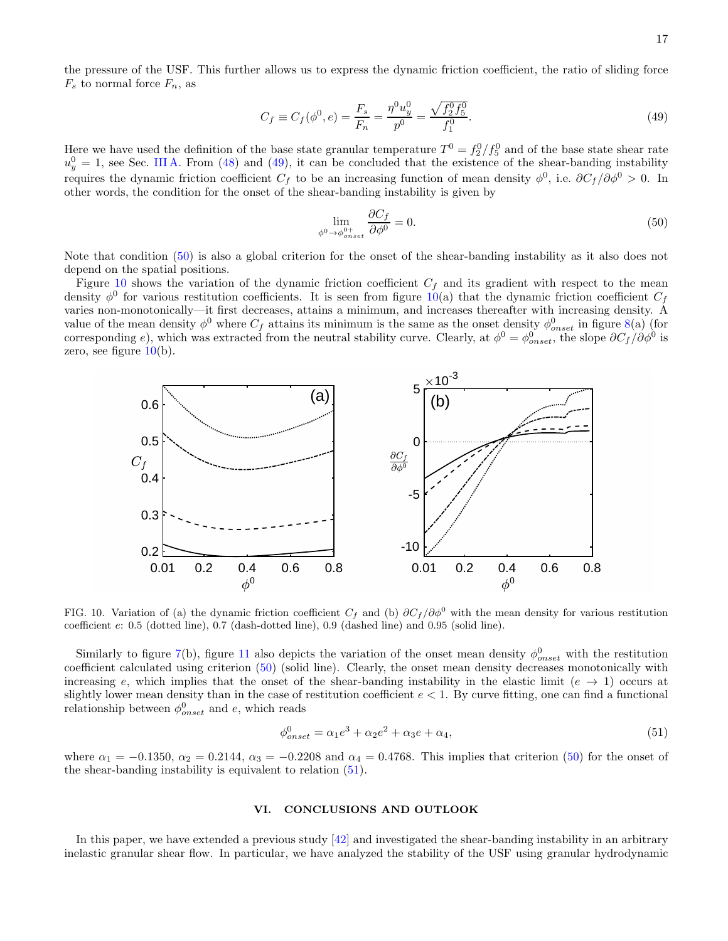the pressure of the USF. This further allows us to express the dynamic friction coefficient, the ratio of sliding force  $F_s$  to normal force  $F_n$ , as

$$
C_f \equiv C_f(\phi^0, e) = \frac{F_s}{F_n} = \frac{\eta^0 u_y^0}{p^0} = \frac{\sqrt{f_2^0 f_5^0}}{f_1^0}.
$$
\n(49)

Here we have used the definition of the base state granular temperature  $T^0 = f_2^0/f_5^0$  and of the base state shear rate  $u_y^0 = 1$ , see Sec. [III A.](#page-6-4) From [\(48\)](#page-15-2) and [\(49\)](#page-16-1), it can be concluded that the existence of the shear-banding instability requires the dynamic friction coefficient  $C_f$  to be an increasing function of mean density  $\phi^0$ , i.e.  $\partial C_f/\partial \phi^0 > 0$ . In other words, the condition for the onset of the shear-banding instability is given by

<span id="page-16-2"></span><span id="page-16-1"></span>
$$
\lim_{\phi^0 \to \phi_{onset}^{0+}} \frac{\partial C_f}{\partial \phi^0} = 0.
$$
\n(50)

Note that condition [\(50\)](#page-16-2) is also a global criterion for the onset of the shear-banding instability as it also does not depend on the spatial positions.

Figure [10](#page-16-3) shows the variation of the dynamic friction coefficient  $C_f$  and its gradient with respect to the mean density  $\phi^0$  for various restitution coefficients. It is seen from figure [10\(](#page-16-3)a) that the dynamic friction coefficient  $C_f$ varies non-monotonically—it first decreases, attains a minimum, and increases thereafter with increasing density. A value of the mean density  $\phi^0$  where  $C_f$  attains its minimum is the same as the onset density  $\phi^0_{onset}$  in figure [8\(](#page-14-1)a) (for corresponding e), which was extracted from the neutral stability curve. Clearly, at  $\phi^0 = \phi_{onset}^0$ , the slope  $\partial C_f / \partial \phi^0$  is zero, see figure  $10(b)$  $10(b)$ .



<span id="page-16-3"></span>FIG. 10. Variation of (a) the dynamic friction coefficient  $C_f$  and (b)  $\partial C_f / \partial \phi^0$  with the mean density for various restitution coefficient e: 0.5 (dotted line), 0.7 (dash-dotted line), 0.9 (dashed line) and 0.95 (solid line).

Similarly to figure [7\(](#page-13-1)b), figure [11](#page-17-0) also depicts the variation of the onset mean density  $\phi_{onset}^0$  with the restitution coefficient calculated using criterion [\(50\)](#page-16-2) (solid line). Clearly, the onset mean density decreases monotonically with increasing e, which implies that the onset of the shear-banding instability in the elastic limit  $(e \rightarrow 1)$  occurs at slightly lower mean density than in the case of restitution coefficient  $e < 1$ . By curve fitting, one can find a functional relationship between  $\phi_{onset}^0$  and e, which reads

<span id="page-16-4"></span>
$$
\phi_{onset}^{0} = \alpha_1 e^3 + \alpha_2 e^2 + \alpha_3 e + \alpha_4,\tag{51}
$$

where  $\alpha_1 = -0.1350$ ,  $\alpha_2 = 0.2144$ ,  $\alpha_3 = -0.2208$  and  $\alpha_4 = 0.4768$ . This implies that criterion [\(50\)](#page-16-2) for the onset of the shear-banding instability is equivalent to relation [\(51\)](#page-16-4).

#### <span id="page-16-0"></span>VI. CONCLUSIONS AND OUTLOOK

In this paper, we have extended a previous study [\[42](#page-19-23)] and investigated the shear-banding instability in an arbitrary inelastic granular shear flow. In particular, we have analyzed the stability of the USF using granular hydrodynamic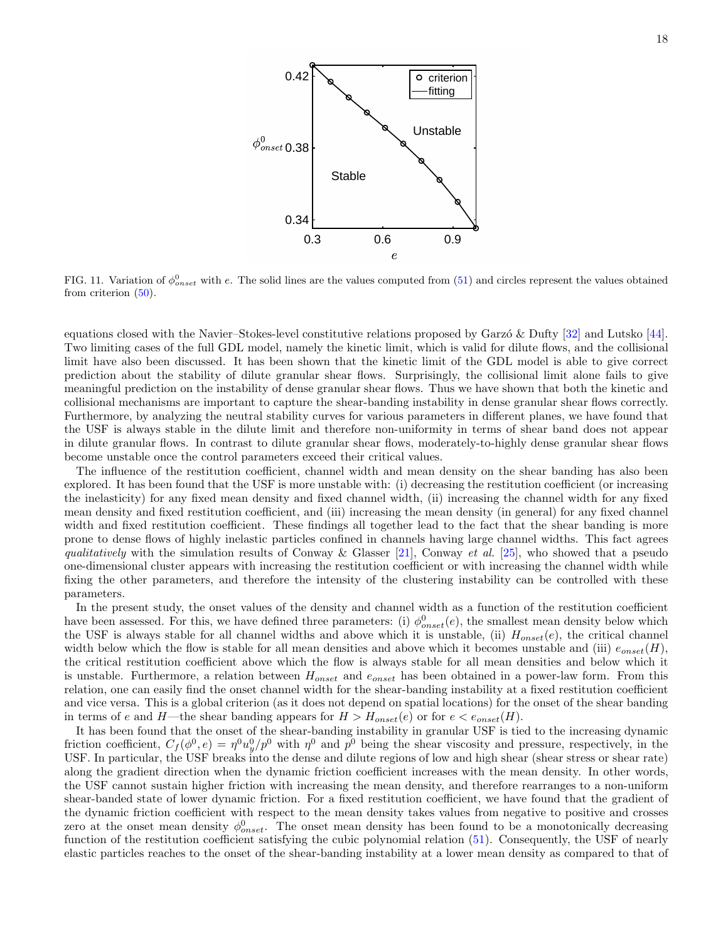

<span id="page-17-0"></span>FIG. 11. Variation of  $\phi_{onset}^0$  with e. The solid lines are the values computed from [\(51\)](#page-16-4) and circles represent the values obtained from criterion [\(50\)](#page-16-2).

equations closed with the Navier–Stokes-level constitutive relations proposed by Garzó & Dufty  $[32]$  and Lutsko  $[44]$ . Two limiting cases of the full GDL model, namely the kinetic limit, which is valid for dilute flows, and the collisional limit have also been discussed. It has been shown that the kinetic limit of the GDL model is able to give correct prediction about the stability of dilute granular shear flows. Surprisingly, the collisional limit alone fails to give meaningful prediction on the instability of dense granular shear flows. Thus we have shown that both the kinetic and collisional mechanisms are important to capture the shear-banding instability in dense granular shear flows correctly. Furthermore, by analyzing the neutral stability curves for various parameters in different planes, we have found that the USF is always stable in the dilute limit and therefore non-uniformity in terms of shear band does not appear in dilute granular flows. In contrast to dilute granular shear flows, moderately-to-highly dense granular shear flows become unstable once the control parameters exceed their critical values.

The influence of the restitution coefficient, channel width and mean density on the shear banding has also been explored. It has been found that the USF is more unstable with: (i) decreasing the restitution coefficient (or increasing the inelasticity) for any fixed mean density and fixed channel width, (ii) increasing the channel width for any fixed mean density and fixed restitution coefficient, and (iii) increasing the mean density (in general) for any fixed channel width and fixed restitution coefficient. These findings all together lead to the fact that the shear banding is more prone to dense flows of highly inelastic particles confined in channels having large channel widths. This fact agrees qualitatively with the simulation results of Conway & Glasser [\[21](#page-19-7)], Conway et al. [\[25](#page-19-12)], who showed that a pseudo one-dimensional cluster appears with increasing the restitution coefficient or with increasing the channel width while fixing the other parameters, and therefore the intensity of the clustering instability can be controlled with these parameters.

In the present study, the onset values of the density and channel width as a function of the restitution coefficient have been assessed. For this, we have defined three parameters: (i)  $\phi_{onset}^0(e)$ , the smallest mean density below which the USF is always stable for all channel widths and above which it is unstable, (ii)  $H_{onset}(e)$ , the critical channel width below which the flow is stable for all mean densities and above which it becomes unstable and (iii)  $e_{onset}(H)$ , the critical restitution coefficient above which the flow is always stable for all mean densities and below which it is unstable. Furthermore, a relation between  $H_{onset}$  and  $e_{onset}$  has been obtained in a power-law form. From this relation, one can easily find the onset channel width for the shear-banding instability at a fixed restitution coefficient and vice versa. This is a global criterion (as it does not depend on spatial locations) for the onset of the shear banding in terms of e and H—the shear banding appears for  $H > H_{onset}(e)$  or for  $e < e_{onset}(H)$ .

It has been found that the onset of the shear-banding instability in granular USF is tied to the increasing dynamic friction coefficient,  $C_f(\phi^0, e) = \eta^0 u_y^0 / p^0$  with  $\eta^0$  and  $p^0$  being the shear viscosity and pressure, respectively, in the USF. In particular, the USF breaks into the dense and dilute regions of low and high shear (shear stress or shear rate) along the gradient direction when the dynamic friction coefficient increases with the mean density. In other words, the USF cannot sustain higher friction with increasing the mean density, and therefore rearranges to a non-uniform shear-banded state of lower dynamic friction. For a fixed restitution coefficient, we have found that the gradient of the dynamic friction coefficient with respect to the mean density takes values from negative to positive and crosses zero at the onset mean density  $\phi_{onset}^0$ . The onset mean density has been found to be a monotonically decreasing function of the restitution coefficient satisfying the cubic polynomial relation [\(51\)](#page-16-4). Consequently, the USF of nearly elastic particles reaches to the onset of the shear-banding instability at a lower mean density as compared to that of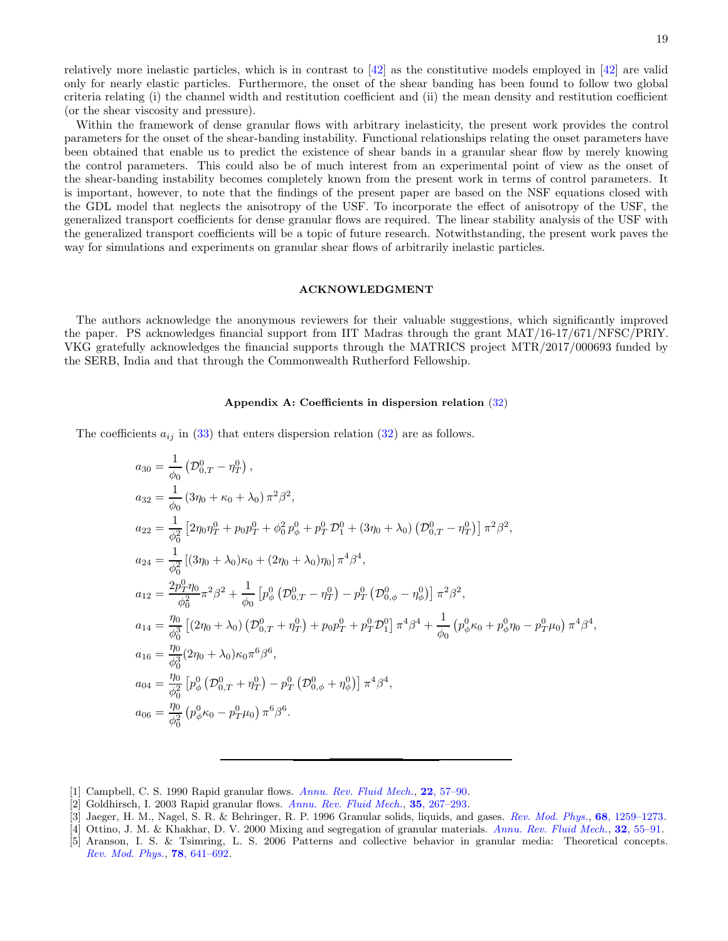relatively more inelastic particles, which is in contrast to  $\left[42\right]$  as the constitutive models employed in  $\left[42\right]$  are valid only for nearly elastic particles. Furthermore, the onset of the shear banding has been found to follow two global criteria relating (i) the channel width and restitution coefficient and (ii) the mean density and restitution coefficient (or the shear viscosity and pressure).

Within the framework of dense granular flows with arbitrary inelasticity, the present work provides the control parameters for the onset of the shear-banding instability. Functional relationships relating the onset parameters have been obtained that enable us to predict the existence of shear bands in a granular shear flow by merely knowing the control parameters. This could also be of much interest from an experimental point of view as the onset of the shear-banding instability becomes completely known from the present work in terms of control parameters. It is important, however, to note that the findings of the present paper are based on the NSF equations closed with the GDL model that neglects the anisotropy of the USF. To incorporate the effect of anisotropy of the USF, the generalized transport coefficients for dense granular flows are required. The linear stability analysis of the USF with the generalized transport coefficients will be a topic of future research. Notwithstanding, the present work paves the way for simulations and experiments on granular shear flows of arbitrarily inelastic particles.

#### ACKNOWLEDGMENT

The authors acknowledge the anonymous reviewers for their valuable suggestions, which significantly improved the paper. PS acknowledges financial support from IIT Madras through the grant MAT/16-17/671/NFSC/PRIY. VKG gratefully acknowledges the financial supports through the MATRICS project MTR/2017/000693 funded by the SERB, India and that through the Commonwealth Rutherford Fellowship.

## <span id="page-18-3"></span>Appendix A: Coefficients in dispersion relation [\(32\)](#page-8-3)

The coefficients  $a_{ij}$  in [\(33\)](#page-8-4) that enters dispersion relation [\(32\)](#page-8-3) are as follows.

$$
a_{30} = \frac{1}{\phi_0} \left( \mathcal{D}_{0,T}^0 - \eta_T^0 \right),
$$
  
\n
$$
a_{32} = \frac{1}{\phi_0} \left( 3\eta_0 + \kappa_0 + \lambda_0 \right) \pi^2 \beta^2,
$$
  
\n
$$
a_{22} = \frac{1}{\phi_0^2} \left[ 2\eta_0 \eta_T^0 + p_0 p_T^0 + \phi_0^2 p_\phi^0 + p_T^0 \mathcal{D}_1^0 + (3\eta_0 + \lambda_0) \left( \mathcal{D}_{0,T}^0 - \eta_T^0 \right) \right] \pi^2 \beta^2,
$$
  
\n
$$
a_{24} = \frac{1}{\phi_0^2} \left[ (3\eta_0 + \lambda_0) \kappa_0 + (2\eta_0 + \lambda_0) \eta_0 \right] \pi^4 \beta^4,
$$
  
\n
$$
a_{12} = \frac{2p_T^0 \eta_0}{\phi_0^2} \pi^2 \beta^2 + \frac{1}{\phi_0} \left[ p_\phi^0 \left( \mathcal{D}_{0,T}^0 - \eta_T^0 \right) - p_T^0 \left( \mathcal{D}_{0,\phi}^0 - \eta_\phi^0 \right) \right] \pi^2 \beta^2,
$$
  
\n
$$
a_{14} = \frac{\eta_0}{\phi_0^3} \left[ (2\eta_0 + \lambda_0) \left( \mathcal{D}_{0,T}^0 + \eta_T^0 \right) + p_0 p_T^0 + p_T^0 \mathcal{D}_1^0 \right] \pi^4 \beta^4 + \frac{1}{\phi_0} \left( p_\phi^0 \kappa_0 + p_\phi^0 \eta_0 - p_T^0 \mu_0 \right) \pi^4 \beta^4,
$$
  
\n
$$
a_{16} = \frac{\eta_0}{\phi_0^3} \left( 2\eta_0 + \lambda_0 \right) \kappa_0 \pi^6 \beta^6,
$$
  
\n
$$
a_{04} = \frac{\eta_0}{\phi_0^2} \left[ p_\phi^0 \left( \mathcal{D}_{0,T}^0 + \eta_T^0 \right) - p_T^0 \left( \mathcal{D}_{0,\phi}^0 + \eta_\phi^0 \right) \right] \pi^4 \beta^4,
$$
  
\n

- <span id="page-18-0"></span>[1] Campbell, C. S. 1990 Rapid granular flows. [Annu. Rev. Fluid Mech.](http://dx.doi.org/10.1146/annurev.fl.22.010190.000421), 22[, 57–90.](http://dx.doi.org/10.1146/annurev.fl.22.010190.000421)
- <span id="page-18-1"></span> $[2]$  Goldhirsch, I. 2003 Rapid granular flows. [Annu. Rev. Fluid Mech.](http://dx.doi.org/10.1146/annurev.fluid.35.101101.161114), 35[, 267–293.](http://dx.doi.org/10.1146/annurev.fluid.35.101101.161114)
- <span id="page-18-2"></span>[3] Jaeger, H. M., Nagel, S. R. & Behringer, R. P. 1996 Granular solids, liquids, and gases. [Rev. Mod. Phys.](http://dx.doi.org/10.1103/RevModPhys.68.1259), 68[, 1259–1273.](http://dx.doi.org/10.1103/RevModPhys.68.1259)
- [4] Ottino, J. M. & Khakhar, D. V. 2000 Mixing and segregation of granular materials. [Annu. Rev. Fluid Mech.](http://dx.doi.org/10.1146/annurev.fluid.32.1.55), 32[, 55–91.](http://dx.doi.org/10.1146/annurev.fluid.32.1.55)
- [5] Aranson, I. S. & Tsimring, L. S. 2006 Patterns and collective behavior in granular media: Theoretical concepts. [Rev. Mod. Phys.](http://dx.doi.org/10.1103/RevModPhys.78.641), 78[, 641–692.](http://dx.doi.org/10.1103/RevModPhys.78.641)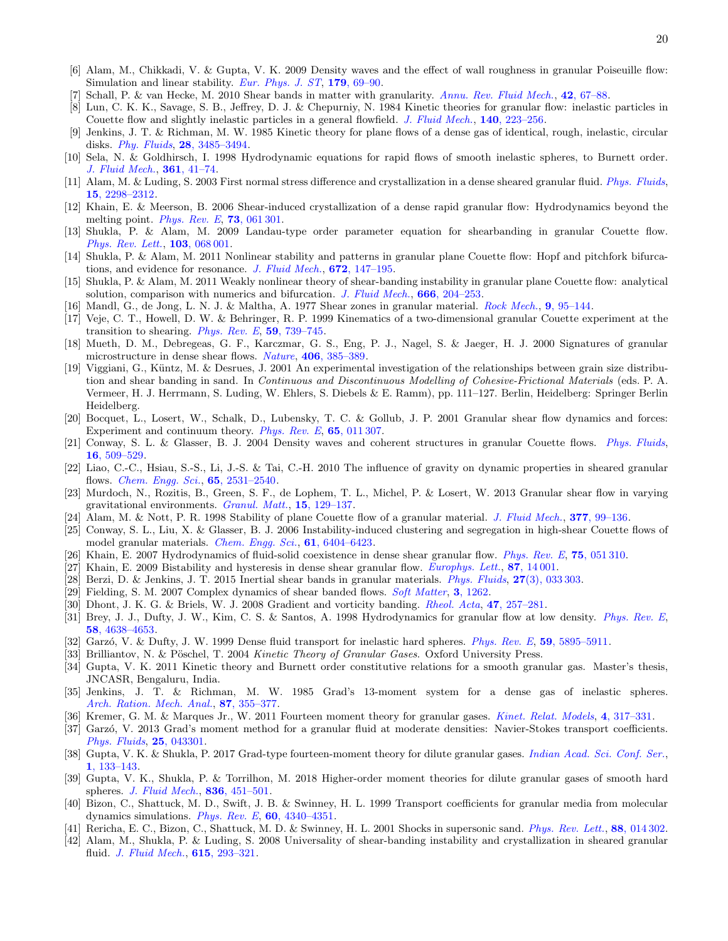- <span id="page-19-0"></span>[6] Alam, M., Chikkadi, V. & Gupta, V. K. 2009 Density waves and the effect of wall roughness in granular Poiseuille flow: Simulation and linear stability. [Eur. Phys. J. ST](http://dx.doi.org/10.1140/epjst/e2010-01195-1), 179, 69-90.
- <span id="page-19-1"></span>Schall, P. & van Hecke, M. 2010 Shear bands in matter with granularity. [Annu. Rev. Fluid Mech.](http://dx.doi.org/10.1146/annurev-fluid-121108-145544), 42[, 67–88.](http://dx.doi.org/10.1146/annurev-fluid-121108-145544)
- <span id="page-19-2"></span>[8] Lun, C. K. K., Savage, S. B., Jeffrey, D. J. & Chepurniy, N. 1984 Kinetic theories for granular flow: inelastic particles in Couette flow and slightly inelastic particles in a general flowfield. [J. Fluid Mech.](http://dx.doi.org/10.1017/S0022112084000586), 140, 223-256.
- <span id="page-19-18"></span>[9] Jenkins, J. T. & Richman, M. W. 1985 Kinetic theory for plane flows of a dense gas of identical, rough, inelastic, circular disks. [Phy. Fluids](http://dx.doi.org/10.1063/1.865302), 28[, 3485–3494.](http://dx.doi.org/10.1063/1.865302)
- <span id="page-19-15"></span>[10] Sela, N. & Goldhirsch, I. 1998 Hydrodynamic equations for rapid flows of smooth inelastic spheres, to Burnett order. [J. Fluid Mech.](http://dx.doi.org/10.1017/S0022112098008660), 361[, 41–74.](http://dx.doi.org/10.1017/S0022112098008660)
- [11] Alam, M. & Luding, S. 2003 First normal stress difference and crystallization in a dense sheared granular fluid. [Phys. Fluids](http://dx.doi.org/10.1063/1.1587723), 15[, 2298–2312.](http://dx.doi.org/10.1063/1.1587723)
- <span id="page-19-6"></span>[12] Khain, E. & Meerson, B. 2006 Shear-induced crystallization of a dense rapid granular flow: Hydrodynamics beyond the melting point. *[Phys. Rev. E](http://dx.doi.org/10.1103/PhysRevE.73.061301)*, **73**[, 061 301.](http://dx.doi.org/10.1103/PhysRevE.73.061301)
- <span id="page-19-10"></span>[13] Shukla, P. & Alam, M. 2009 Landau-type order parameter equation for shearbanding in granular Couette flow. [Phys. Rev. Lett.](http://dx.doi.org/10.1103/PhysRevLett.103.068001), **103**[, 068 001.](http://dx.doi.org/10.1103/PhysRevLett.103.068001)
- [14] Shukla, P. & Alam, M. 2011 Nonlinear stability and patterns in granular plane Couette flow: Hopf and pitchfork bifurca-tions, and evidence for resonance. [J. Fluid Mech.](http://dx.doi.org/10.1017/S002211201000594X), 672, 147-195.
- <span id="page-19-3"></span>[15] Shukla, P. & Alam, M. 2011 Weakly nonlinear theory of shear-banding instability in granular plane Couette flow: analytical solution, comparison with numerics and bifurcation. [J. Fluid Mech.](http://dx.doi.org/10.1017/S0022112010004143),  $666$ ,  $204-253$ .
- <span id="page-19-4"></span>[16] Mandl, G., de Jong, L. N. J. & Maltha, A. 1977 Shear zones in granular material. [Rock Mech.](http://dx.doi.org/10.1007/BF01237876), 9[, 95–144.](http://dx.doi.org/10.1007/BF01237876)
- [17] Veje, C. T., Howell, D. W. & Behringer, R. P. 1999 Kinematics of a two-dimensional granular Couette experiment at the transition to shearing. [Phys. Rev. E](http://dx.doi.org/10.1103/PhysRevE.59.739),  $59$ ,  $739-745$ .
- <span id="page-19-11"></span>[18] Mueth, D. M., Debregeas, G. F., Karczmar, G. S., Eng, P. J., Nagel, S. & Jaeger, H. J. 2000 Signatures of granular microstructure in dense shear flows. *[Nature](http://dx.doi.org/10.1038/35019032)*, **406**[, 385–389.](http://dx.doi.org/10.1038/35019032)
- [19] Viggiani, G., Küntz, M. & Desrues, J. 2001 An experimental investigation of the relationships between grain size distribution and shear banding in sand. In Continuous and Discontinuous Modelling of Cohesive-Frictional Materials (eds. P. A. Vermeer, H. J. Herrmann, S. Luding, W. Ehlers, S. Diebels & E. Ramm), pp. 111–127. Berlin, Heidelberg: Springer Berlin Heidelberg.
- [20] Bocquet, L., Losert, W., Schalk, D., Lubensky, T. C. & Gollub, J. P. 2001 Granular shear flow dynamics and forces: Experiment and continuum theory. [Phys. Rev. E](http://dx.doi.org/10.1103/PhysRevE.65.011307), 65[, 011 307.](http://dx.doi.org/10.1103/PhysRevE.65.011307)
- <span id="page-19-7"></span>[21] Conway, S. L. & Glasser, B. J. 2004 Density waves and coherent structures in granular Couette flows. [Phys. Fluids](http://dx.doi.org/10.1063/1.1637348), 16[, 509–529.](http://dx.doi.org/10.1063/1.1637348)
- [22] Liao, C.-C., Hsiau, S.-S., Li, J.-S. & Tai, C.-H. 2010 The influence of gravity on dynamic properties in sheared granular flows. [Chem. Engg. Sci.](http://dx.doi.org/10.1016/j.ces.2009.12.034), 65[, 2531–2540.](http://dx.doi.org/10.1016/j.ces.2009.12.034)
- <span id="page-19-5"></span>[23] Murdoch, N., Rozitis, B., Green, S. F., de Lophem, T. L., Michel, P. & Losert, W. 2013 Granular shear flow in varying gravitational environments. [Granul. Matt.](http://dx.doi.org/10.1007/s10035-013-0395-y), 15[, 129–137.](http://dx.doi.org/10.1007/s10035-013-0395-y)
- <span id="page-19-8"></span>[24] Alam, M. & Nott, P. R. 1998 Stability of plane Couette flow of a granular material. [J. Fluid Mech.](http://dx.doi.org/10.1017/S002211209800295X), 377[, 99–136.](http://dx.doi.org/10.1017/S002211209800295X)
- <span id="page-19-12"></span>[25] Conway, S. L., Liu, X. & Glasser, B. J. 2006 Instability-induced clustering and segregation in high-shear Couette flows of model granular materials. *[Chem. Engg. Sci.](http://dx.doi.org/10.1016/j.ces.2006.05.049)*, **61**[, 6404–6423.](http://dx.doi.org/10.1016/j.ces.2006.05.049)
- <span id="page-19-27"></span>[26] Khain, E. 2007 Hydrodynamics of fluid-solid coexistence in dense shear granular flow. [Phys. Rev. E](http://dx.doi.org/10.1103/PhysRevE.75.051310), 75[, 051 310.](http://dx.doi.org/10.1103/PhysRevE.75.051310)
- [27] Khain, E. 2009 Bistability and hysteresis in dense shear granular flow. *[Europhys. Lett.](http://dx.doi.org/10.1209/0295-5075/87/14001)*,  $87$ ,  $14\,001$ .
- <span id="page-19-9"></span>[28] Berzi, D. & Jenkins, J. T. 2015 Inertial shear bands in granular materials. *[Phys. Fluids](http://dx.doi.org/10.1063/1.4914920)*, 27[\(3\), 033 303.](http://dx.doi.org/10.1063/1.4914920)
- <span id="page-19-13"></span>[29] Fielding, S. M. 2007 Complex dynamics of shear banded flows. [Soft Matter](http://dx.doi.org/10.1039/B707980J), 3[, 1262.](http://dx.doi.org/10.1039/B707980J)
- <span id="page-19-14"></span>[30] Dhont, J. K. G. & Briels, W. J. 2008 Gradient and vorticity banding. *[Rheol. Acta](http://dx.doi.org/10.1007/s00397-007-0245-0)*, 47[, 257–281.](http://dx.doi.org/10.1007/s00397-007-0245-0)
- <span id="page-19-16"></span>[31] Brey, J. J., Dufty, J. W., Kim, C. S. & Santos, A. 1998 Hydrodynamics for granular flow at low density. *[Phys. Rev. E](http://dx.doi.org/10.1103/PhysRevE.58.4638)*, 58[, 4638–4653.](http://dx.doi.org/10.1103/PhysRevE.58.4638)
- <span id="page-19-24"></span>[32] Garzó, V. & Dufty, J. W. 1999 Dense fluid transport for inelastic hard spheres. [Phys. Rev. E](http://dx.doi.org/10.1103/PhysRevE.59.5895), 59[, 5895–5911.](http://dx.doi.org/10.1103/PhysRevE.59.5895)
- <span id="page-19-25"></span>[33] Brilliantov, N. & Pöschel, T. 2004 Kinetic Theory of Granular Gases. Oxford University Press.
- <span id="page-19-17"></span>[34] Gupta, V. K. 2011 Kinetic theory and Burnett order constitutive relations for a smooth granular gas. Master's thesis, JNCASR, Bengaluru, India.
- <span id="page-19-19"></span>[35] Jenkins, J. T. & Richman, M. W. 1985 Grad's 13-moment system for a dense gas of inelastic spheres. [Arch. Ration. Mech. Anal.](http://dx.doi.org/10.1007/BF00250919), 87, 355-377.
- [36] Kremer, G. M. & Marques Jr., W. 2011 Fourteen moment theory for granular gases. [Kinet. Relat. Models](http://dx.doi.org/10.3934/krm.2011.4.317), 4[, 317–331.](http://dx.doi.org/10.3934/krm.2011.4.317)
- <span id="page-19-26"></span>[37] Garzó, V. 2013 Grad's moment method for a granular fluid at moderate densities: Navier-Stokes transport coefficients. [Phys. Fluids](http://dx.doi.org/10.1063/1.4798824), 25[, 043301.](http://dx.doi.org/10.1063/1.4798824)
- [38] Gupta, V. K. & Shukla, P. 2017 Grad-type fourteen-moment theory for dilute granular gases. *[Indian Acad. Sci. Conf. Ser.](http://dx.doi.org/10.29195/iascs.01.01.0005)*, 1[, 133–143.](http://dx.doi.org/10.29195/iascs.01.01.0005)
- <span id="page-19-20"></span>[39] Gupta, V. K., Shukla, P. & Torrilhon, M. 2018 Higher-order moment theories for dilute granular gases of smooth hard spheres. *[J. Fluid Mech.](http://dx.doi.org/10.1017/jfm.2017.806)*, **836**, 451-501.
- <span id="page-19-21"></span>[40] Bizon, C., Shattuck, M. D., Swift, J. B. & Swinney, H. L. 1999 Transport coefficients for granular media from molecular dynamics simulations. [Phys. Rev. E](http://dx.doi.org/10.1103/PhysRevE.60.4340),  $60$ ,  $4340-4351$ .
- <span id="page-19-22"></span>[41] Rericha, E. C., Bizon, C., Shattuck, M. D. & Swinney, H. L. 2001 Shocks in supersonic sand. [Phys. Rev. Lett.](http://dx.doi.org/10.1103/PhysRevLett.88.014302), 88[, 014 302.](http://dx.doi.org/10.1103/PhysRevLett.88.014302)
- <span id="page-19-23"></span>[42] Alam, M., Shukla, P. & Luding, S. 2008 Universality of shear-banding instability and crystallization in sheared granular fluid. *[J. Fluid Mech.](http://dx.doi.org/10.1017/S0022112008003832)*, **615**, 293-321.